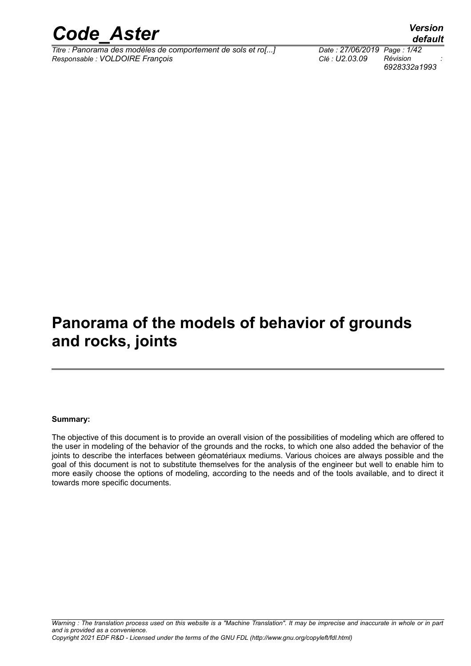

*Titre : Panorama des modèles de comportement de sols et ro[...] Date : 27/06/2019 Page : 1/42 Responsable : VOLDOIRE François Clé : U2.03.09 Révision :*

*6928332a1993*

### **Panorama of the models of behavior of grounds and rocks, joints**

#### **Summary:**

The objective of this document is to provide an overall vision of the possibilities of modeling which are offered to the user in modeling of the behavior of the grounds and the rocks, to which one also added the behavior of the joints to describe the interfaces between géomatériaux mediums. Various choices are always possible and the goal of this document is not to substitute themselves for the analysis of the engineer but well to enable him to more easily choose the options of modeling, according to the needs and of the tools available, and to direct it towards more specific documents.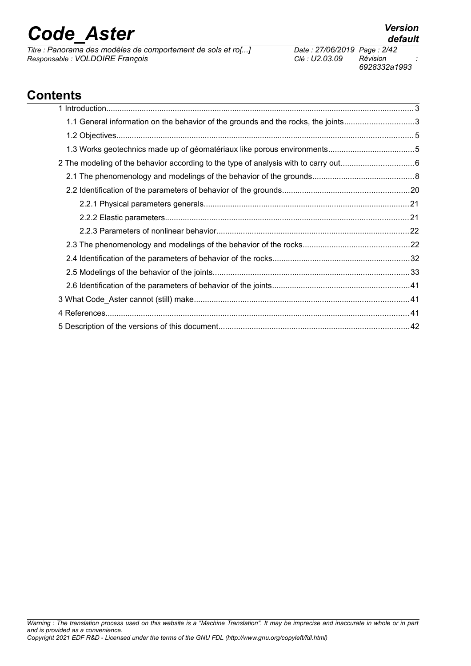*Titre : Panorama des modèles de comportement de sols et ro[...] Date : 27/06/2019 Page : 2/42*  $Responsible : VOLDOIRE$  *François* 

### **Contents**

| 1.1 General information on the behavior of the grounds and the rocks, the joints3 |  |
|-----------------------------------------------------------------------------------|--|
|                                                                                   |  |
|                                                                                   |  |
|                                                                                   |  |
|                                                                                   |  |
|                                                                                   |  |
|                                                                                   |  |
|                                                                                   |  |
|                                                                                   |  |
|                                                                                   |  |
|                                                                                   |  |
|                                                                                   |  |
|                                                                                   |  |
|                                                                                   |  |
|                                                                                   |  |
|                                                                                   |  |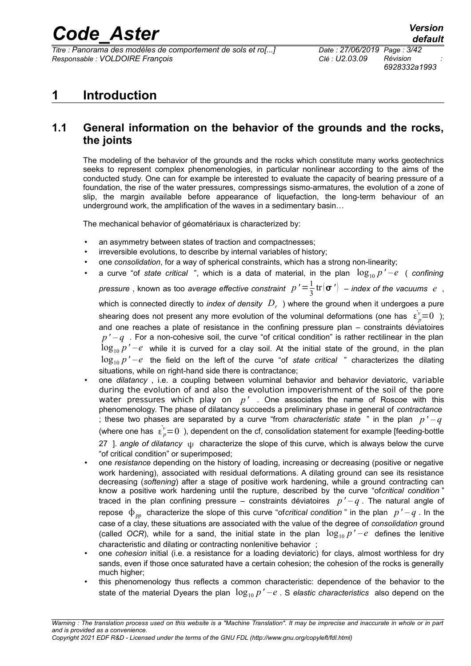*Titre : Panorama des modèles de comportement de sols et ro[...] Date : 27/06/2019 Page : 3/42 Responsable : VOLDOIRE François Clé : U2.03.09 Révision :*

*6928332a1993*

### <span id="page-2-1"></span>**1 Introduction**

### <span id="page-2-0"></span>**1.1 General information on the behavior of the grounds and the rocks, the joints**

The modeling of the behavior of the grounds and the rocks which constitute many works geotechnics seeks to represent complex phenomenologies, in particular nonlinear according to the aims of the conducted study. One can for example be interested to evaluate the capacity of bearing pressure of a foundation, the rise of the water pressures, compressings sismo-armatures, the evolution of a zone of slip, the margin available before appearance of liquefaction, the long-term behaviour of an underground work, the amplification of the waves in a sedimentary basin…

The mechanical behavior of géomatériaux is characterized by:

- an asymmetry between states of traction and compactnesses;
- irreversible evolutions, to describe by internal variables of history;
- one *consolidation*, for a way of spherical constraints, which has a strong non-linearity;
- a curve "of *state critical* ", which is a data of material, in the plan  $\log_{10} p' e$  (confining

*pressure* , known as too *average effective constraint*  $p'$   $=$   $\frac{1}{2}$  $\frac{1}{3}$ tr $(\sigma')$  – index of the vacuums e, which is connected directly to *index of density*  $\,D_{r}\,$  ) where the ground when it undergoes a pure shearing does not present any more evolution of the voluminal deformations (one has  $\epsilon_p^{\nu}=0$  ); and one reaches a plate of resistance in the confining pressure plan – constraints déviatoires  $p'$  –  $q$ . For a non-cohesive soil, the curve "of critical condition" is rather rectilinear in the plan  $\log_{10} p' - e$  while it is curved for a clay soil. At the initial state of the ground, in the plan  $\log_{10} p' - e$  the field on the left of the curve "of *state critical*" characterizes the dilating situations, while on right-hand side there is contractance:

- one *dilatancy* , i.e. a coupling between voluminal behavior and behavior deviatoric, variable during the evolution of and also the evolution impoverishment of the soil of the pore water pressures which play on *p'* . One associates the name of Roscoe with this phenomenology. The phase of dilatancy succeeds a preliminary phase in general of *contractance* ; these two phases are separated by a curve "from *characteristic state* " in the plan *p ' – q* (where one has  $\epsilon_p^{\nu}=0$  ), dependent on the cf, consolidation statement for example [feeding-bottle [27](#page-41-1) ]. *angle* of dilatancy u characterize the slope of this curve, which is always below the curve "of critical condition" or superimposed;
- one *resistance* depending on the history of loading, increasing or decreasing (positive or negative work hardening), associated with residual deformations. A dilating ground can see its resistance decreasing (*softening*) after a stage of positive work hardening, while a ground contracting can know a positive work hardening until the rupture, described by the curve "of*critical condition* " traced in the plan confining pressure – constraints déviatoires  $p' - q$ . The natural angle of repose  $\phi_{\nu}$  characterize the slope of this curve "of*critical condition*" in the plan  $p'-q$ . In the case of a clay, these situations are associated with the value of the degree of *consolidation* ground (called *OCR*), while for a sand, the initial state in the plan  $\log_{10} p' - e$  defines the lenitive characteristic and dilating or contracting nonlenitive behavior ;
- one *cohesion* initial (i.e. a resistance for a loading deviatoric) for clays, almost worthless for dry sands, even if those once saturated have a certain cohesion; the cohesion of the rocks is generally much higher;
- this phenomenology thus reflects a common characteristic: dependence of the behavior to the state of the material Dyears the plan  $\log_{10} p' - e$ . S *elastic characteristics* also depend on the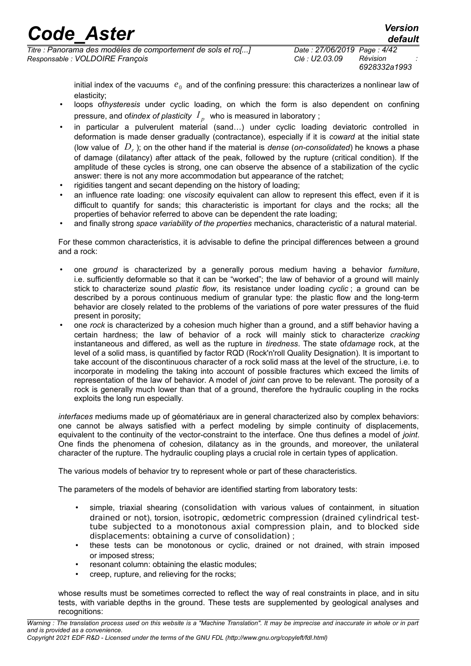*6928332a1993*

initial index of the vacuums  $|e_{0}\rangle$  and of the confining pressure: this characterizes a nonlinear law of elasticity;

- loops of*hysteresis* under cyclic loading, on which the form is also dependent on confining pressure, and of*index of plasticity*  $\,I_{\,p}\,$  *w*ho is measured in laboratory ;
- in particular a pulverulent material (sand…) under cyclic loading deviatoric controlled in deformation is made denser gradually (contractance), especially if it is *coward* at the initial state (low value of *D<sup>r</sup>* ); on the other hand if the material is *dense* (*on-consolidated*) he knows a phase of damage (dilatancy) after attack of the peak, followed by the rupture (critical condition). If the amplitude of these cycles is strong, one can observe the absence of a stabilization of the cyclic answer: there is not any more accommodation but appearance of the ratchet;
- rigidities tangent and secant depending on the history of loading;
- an influence rate loading: one *viscosity* equivalent can allow to represent this effect, even if it is difficult to quantify for sands; this characteristic is important for clays and the rocks; all the properties of behavior referred to above can be dependent the rate loading;
- and finally strong *space variability of the properties* mechanics, characteristic of a natural material.

For these common characteristics, it is advisable to define the principal differences between a ground and a rock:

- one *ground* is characterized by a generally porous medium having a behavior *furniture*, i.e. sufficiently deformable so that it can be "worked"; the law of behavior of a ground will mainly stick to characterize sound *plastic flow*, its resistance under loading *cyclic* ; a ground can be described by a porous continuous medium of granular type: the plastic flow and the long-term behavior are closely related to the problems of the variations of pore water pressures of the fluid present in porosity;
- one *rock* is characterized by a cohesion much higher than a ground, and a stiff behavior having a certain hardness; the law of behavior of a rock will mainly stick to characterize *cracking* instantaneous and differed, as well as the rupture in *tiredness*. The state of*damage* rock, at the level of a solid mass, is quantified by factor RQD (Rock'n'roll Quality Designation). It is important to take account of the discontinuous character of a rock solid mass at the level of the structure, i.e. to incorporate in modeling the taking into account of possible fractures which exceed the limits of representation of the law of behavior. A model of *joint* can prove to be relevant. The porosity of a rock is generally much lower than that of a ground, therefore the hydraulic coupling in the rocks exploits the long run especially.

*interfaces* mediums made up of géomatériaux are in general characterized also by complex behaviors: one cannot be always satisfied with a perfect modeling by simple continuity of displacements, equivalent to the continuity of the vector-constraint to the interface. One thus defines a model of *joint*. One finds the phenomena of cohesion, dilatancy as in the grounds, and moreover, the unilateral character of the rupture. The hydraulic coupling plays a crucial role in certain types of application.

The various models of behavior try to represent whole or part of these characteristics.

The parameters of the models of behavior are identified starting from laboratory tests:

- simple, triaxial shearing (consolidation with various values of containment, in situation drained or not), torsion, isotropic, œdometric compression (drained cylindrical testtube subjected to a monotonous axial compression plain, and to blocked side displacements: obtaining a curve of consolidation) ;
- these tests can be monotonous or cyclic, drained or not drained, with strain imposed or imposed stress;
- resonant column: obtaining the elastic modules;
- creep, rupture, and relieving for the rocks;

whose results must be sometimes corrected to reflect the way of real constraints in place, and in situ tests, with variable depths in the ground. These tests are supplemented by geological analyses and recognitions: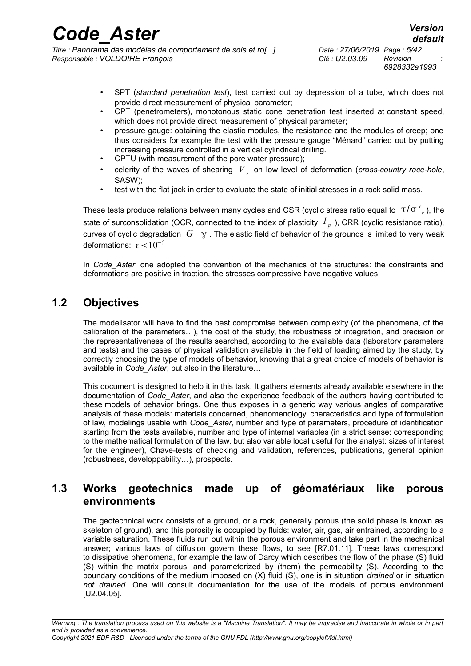| <b>Code Aster</b>                                            | <b>Version</b>              |
|--------------------------------------------------------------|-----------------------------|
|                                                              | default                     |
| Titre : Panorama des modèles de comportement de sols et ro[] | Date: 27/06/2019 Page: 5/42 |

*Titre : Panorama des modèles de comportement de sols et ro[...] Date : 27/06/2019 Page : 5/42 Responsable : VOLDOIRE François Clé : U2.03.09 Révision :*

- SPT (*standard penetration test*), test carried out by depression of a tube, which does not provide direct measurement of physical parameter;
- CPT (penetrometers), monotonous static cone penetration test inserted at constant speed, which does not provide direct measurement of physical parameter;
- pressure gauge: obtaining the elastic modules, the resistance and the modules of creep; one thus considers for example the test with the pressure gauge "Ménard" carried out by putting increasing pressure controlled in a vertical cylindrical drilling.
- CPTU (with measurement of the pore water pressure);
- celerity of the waves of shearing *V <sup>s</sup>* on low level of deformation (*cross-country race-hole*, SASW);
- test with the flat jack in order to evaluate the state of initial stresses in a rock solid mass.

These tests produce relations between many cycles and CSR (cyclic stress ratio equal to  $\tau/\sigma'{}_{\!\scriptscriptstyle(\nu}$  ), the state of surconsolidation (OCR, connected to the index of plasticity  $|I_{\overline{p}}|$ ), CRR (cyclic resistance ratio), curves of cyclic degradation  $G - \gamma$ . The elastic field of behavior of the grounds is limited to very weak deformations:  $\epsilon$  <  $10^{-5}$ .

In *Code\_Aster*, one adopted the convention of the mechanics of the structures: the constraints and deformations are positive in traction, the stresses compressive have negative values.

### **1.2 Objectives**

<span id="page-4-1"></span>The modelisator will have to find the best compromise between complexity (of the phenomena, of the calibration of the parameters…), the cost of the study, the robustness of integration, and precision or the representativeness of the results searched, according to the available data (laboratory parameters and tests) and the cases of physical validation available in the field of loading aimed by the study, by correctly choosing the type of models of behavior, knowing that a great choice of models of behavior is available in *Code\_Aster*, but also in the literature…

This document is designed to help it in this task. It gathers elements already available elsewhere in the documentation of *Code\_Aster*, and also the experience feedback of the authors having contributed to these models of behavior brings. One thus exposes in a generic way various angles of comparative analysis of these models: materials concerned, phenomenology, characteristics and type of formulation of law, modelings usable with *Code\_Aster*, number and type of parameters, procedure of identification starting from the tests available, number and type of internal variables (in a strict sense: corresponding to the mathematical formulation of the law, but also variable local useful for the analyst: sizes of interest for the engineer), Chave-tests of checking and validation, references, publications, general opinion (robustness, developpability…), prospects.

### <span id="page-4-0"></span>**1.3 Works geotechnics made up of géomatériaux like porous environments**

The geotechnical work consists of a ground, or a rock, generally porous (the solid phase is known as skeleton of ground), and this porosity is occupied by fluids: water, air, gas, air entrained, according to a variable saturation. These fluids run out within the porous environment and take part in the mechanical answer; various laws of diffusion govern these flows, to see [R7.01.11]. These laws correspond to dissipative phenomena, for example the law of Darcy which describes the flow of the phase (S) fluid (S) within the matrix porous, and parameterized by (them) the permeability (S). According to the boundary conditions of the medium imposed on (X) fluid (S), one is in situation *drained* or in situation *not drained*. One will consult documentation for the use of the models of porous environment [U2.04.05].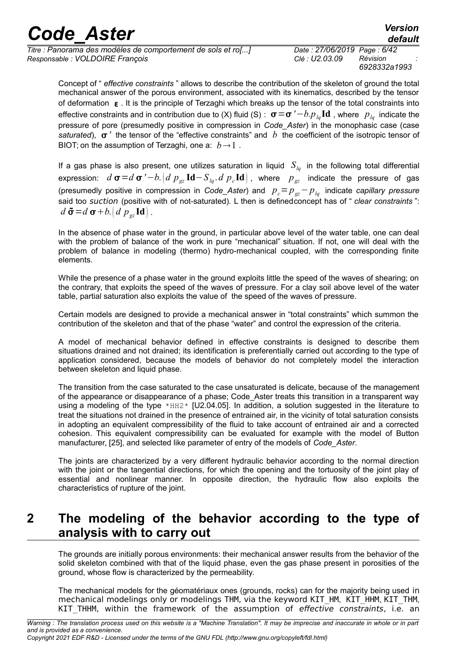| <b>Code Aster</b>                                                                               |                                               | <b>Version</b><br>default |
|-------------------------------------------------------------------------------------------------|-----------------------------------------------|---------------------------|
| Titre : Panorama des modèles de comportement de sols et ro[]<br>Responsable : VOLDOIRE François | Date: 27/06/2019 Page: 6/42<br>Clé : U2.03.09 | Révision                  |
|                                                                                                 |                                               | 6928332a1993              |

Concept of " *effective constraints* " allows to describe the contribution of the skeleton of ground the total mechanical answer of the porous environment, associated with its kinematics, described by the tensor of deformation  $\epsilon$ . It is the principle of Terzaghi which breaks up the tensor of the total constraints into effective constraints and in contribution due to (X) fluid (S) :  $\sigma = \sigma' - b.p_{lq} \text{Id}$ , where  $p_{lq}$  indicate the pressure of pore (presumedly positive in compression in *Code\_Aster*) in the monophasic case (case *saturated*),  $\sigma'$  the tensor of the "effective constraints" and *b* the coefficient of the isotropic tensor of BIOT; on the assumption of Terzaghi, one a:  $b \rightarrow 1$ .

If a gas phase is also present, one utilizes saturation in liquid  $S_{lq}$  in the following total differential  $e$ xpression:  $d$   $\bm{\sigma}$   $=$   $d$   $\bm{\sigma}$   $'$   $b$ .  $\left(d$   $p$   $_{gz}$   ${\bf Id}-S$   $_{lq}$  .  $d$   $p$   $_{c}$   ${\bf Id}\right)$  , where  $\left. p$   $_{gz}$  indicate the pressure of gas (presumedly positive in compression in *Code\_Aster*) and *pc*=*pgz*−*plq* indicate *capillary pressure* said too suction (positive with of not-saturated). L then is definedconcept has of " *clear constraints* ":  $d\tilde{\sigma} = d\sigma + b$ .  $d\mathbf{p}_g$  **Id** .

In the absence of phase water in the ground, in particular above level of the water table, one can deal with the problem of balance of the work in pure "mechanical" situation. If not, one will deal with the problem of balance in modeling (thermo) hydro-mechanical coupled, with the corresponding finite elements.

While the presence of a phase water in the ground exploits little the speed of the waves of shearing; on the contrary, that exploits the speed of the waves of pressure. For a clay soil above level of the water table, partial saturation also exploits the value of the speed of the waves of pressure.

Certain models are designed to provide a mechanical answer in "total constraints" which summon the contribution of the skeleton and that of the phase "water" and control the expression of the criteria.

A model of mechanical behavior defined in effective constraints is designed to describe them situations drained and not drained; its identification is preferentially carried out according to the type of application considered, because the models of behavior do not completely model the interaction between skeleton and liquid phase.

The transition from the case saturated to the case unsaturated is delicate, because of the management of the appearance or disappearance of a phase; Code Aster treats this transition in a transparent way using a modeling of the type  $*HH2*$  [U2.04.05]. In addition, a solution suggested in the literature to treat the situations not drained in the presence of entrained air, in the vicinity of total saturation consists in adopting an equivalent compressibility of the fluid to take account of entrained air and a corrected cohesion. This equivalent compressibility can be evaluated for example with the model of Button manufacturer, [\[25\]](#page-41-2), and selected like parameter of entry of the models of *Code\_Aster*.

The joints are characterized by a very different hydraulic behavior according to the normal direction with the joint or the tangential directions, for which the opening and the tortuosity of the joint play of essential and nonlinear manner. In opposite direction, the hydraulic flow also exploits the characteristics of rupture of the joint.

### <span id="page-5-0"></span>**2 The modeling of the behavior according to the type of analysis with to carry out**

The grounds are initially porous environments: their mechanical answer results from the behavior of the solid skeleton combined with that of the liquid phase, even the gas phase present in porosities of the ground, whose flow is characterized by the permeability.

The mechanical models for the géomatériaux ones (grounds, rocks) can for the majority being used in mechanical modelings only or modelings THM, via the keyword KIT\_HM, KIT\_HHM, KIT\_THM, KIT THHM, within the framework of the assumption of effective constraints, i.e. an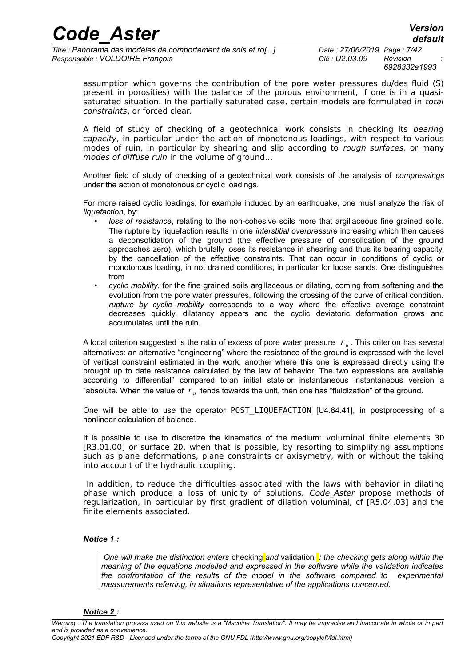*Titre : Panorama des modèles de comportement de sols et ro[...] Date : 27/06/2019 Page : 7/42 Responsable : VOLDOIRE François Clé : U2.03.09 Révision :*

*6928332a1993*

*default*

assumption which governs the contribution of the pore water pressures du/des fluid (S) present in porosities) with the balance of the porous environment, if one is in a quasisaturated situation. In the partially saturated case, certain models are formulated in total constraints, or forced clear.

A field of study of checking of a geotechnical work consists in checking its bearing capacity, in particular under the action of monotonous loadings, with respect to various modes of ruin, in particular by shearing and slip according to *rough surfaces*, or many modes of diffuse ruin in the volume of ground…

Another field of study of checking of a geotechnical work consists of the analysis of *compressings* under the action of monotonous or cyclic loadings.

For more raised cyclic loadings, for example induced by an earthquake, one must analyze the risk of *liquefaction*, by:

- *loss of resistance*, relating to the non-cohesive soils more that argillaceous fine grained soils. The rupture by liquefaction results in one *interstitial overpressure* increasing which then causes a deconsolidation of the ground (the effective pressure of consolidation of the ground approaches zero), which brutally loses its resistance in shearing and thus its bearing capacity, by the cancellation of the effective constraints. That can occur in conditions of cyclic or monotonous loading, in not drained conditions, in particular for loose sands. One distinguishes from
- *cyclic mobility*, for the fine grained soils argillaceous or dilating, coming from softening and the evolution from the pore water pressures, following the crossing of the curve of critical condition. *rupture by cyclic mobility* corresponds to a way where the effective average constraint decreases quickly, dilatancy appears and the cyclic deviatoric deformation grows and accumulates until the ruin.

A local criterion suggested is the ratio of excess of pore water pressure *r <sup>u</sup>* . This criterion has several alternatives: an alternative "engineering" where the resistance of the ground is expressed with the level of vertical constraint estimated in the work, another where this one is expressed directly using the brought up to date resistance calculated by the law of behavior. The two expressions are available according to differential" compared to an initial state or instantaneous instantaneous version a "absolute. When the value of  $r_u$  tends towards the unit, then one has "fluidization" of the ground.

One will be able to use the operator POST\_LIQUEFACTION [U4.84.41], in postprocessing of a nonlinear calculation of balance.

It is possible to use to discretize the kinematics of the medium: voluminal finite elements 3D [R3.01.00] or surface 2D, when that is possible, by resorting to simplifying assumptions such as plane deformations, plane constraints or axisymetry, with or without the taking into account of the hydraulic coupling.

In addition, to reduce the difficulties associated with the laws with behavior in dilating phase which produce a loss of unicity of solutions, Code\_Aster propose methods of regularization, in particular by first gradient of dilation voluminal, cf [R5.04.03] and the finite elements associated.

#### *Notice 1 :*

 *One will make the distinction enters* checking *and* validation *: the checking gets along within the meaning of the equations modelled and expressed in the software while the validation indicates the confrontation of the results of the model in the software compared to experimental measurements referring, in situations representative of the applications concerned.*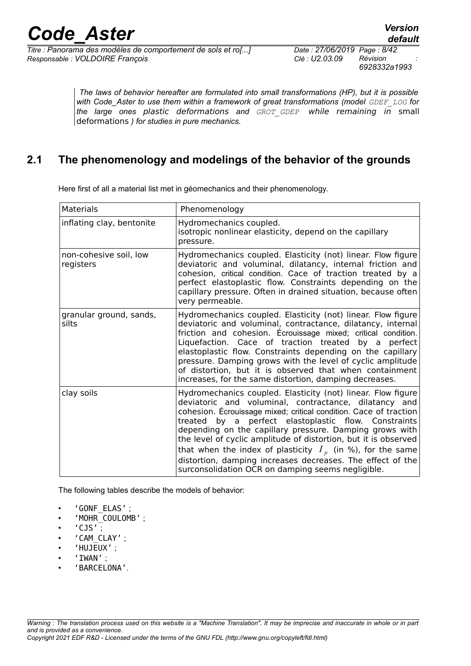*6928332a1993*

*The laws of behavior hereafter are formulated into small transformations (HP), but it is possible with Code\_Aster to use them within a framework of great transformations (model GDEF\_LOG for the large ones* plastic deformations *and GROT\_GDEP* while remaining in small deformations *) for studies in pure mechanics.*

### **2.1 The phenomenology and modelings of the behavior of the grounds**

<span id="page-7-0"></span>Here first of all a material list met in géomechanics and their phenomenology.

| <b>Materials</b>                    | Phenomenology                                                                                                                                                                                                                                                                                                                                                                                                                                                                                                                                                      |
|-------------------------------------|--------------------------------------------------------------------------------------------------------------------------------------------------------------------------------------------------------------------------------------------------------------------------------------------------------------------------------------------------------------------------------------------------------------------------------------------------------------------------------------------------------------------------------------------------------------------|
| inflating clay, bentonite           | Hydromechanics coupled.<br>isotropic nonlinear elasticity, depend on the capillary<br>pressure.                                                                                                                                                                                                                                                                                                                                                                                                                                                                    |
| non-cohesive soil, low<br>registers | Hydromechanics coupled. Elasticity (not) linear. Flow figure<br>deviatoric and voluminal, dilatancy, internal friction and<br>cohesion, critical condition. Cace of traction treated by a<br>perfect elastoplastic flow. Constraints depending on the<br>capillary pressure. Often in drained situation, because often<br>very permeable.                                                                                                                                                                                                                          |
| granular ground, sands,<br>silts    | Hydromechanics coupled. Elasticity (not) linear. Flow figure<br>deviatoric and voluminal, contractance, dilatancy, internal<br>friction and cohesion. Écrouissage mixed; critical condition.<br>Liquefaction. Cace of traction treated by a perfect<br>elastoplastic flow. Constraints depending on the capillary<br>pressure. Damping grows with the level of cyclic amplitude<br>of distortion, but it is observed that when containment<br>increases, for the same distortion, damping decreases.                                                               |
| clay soils                          | Hydromechanics coupled. Elasticity (not) linear. Flow figure<br>deviatoric and voluminal, contractance, dilatancy and<br>cohesion. Écrouissage mixed; critical condition. Cace of traction<br>treated by a perfect elastoplastic flow. Constraints<br>depending on the capillary pressure. Damping grows with<br>the level of cyclic amplitude of distortion, but it is observed<br>that when the index of plasticity $Ip$ (in %), for the same<br>distortion, damping increases decreases. The effect of the<br>surconsolidation OCR on damping seems negligible. |

The following tables describe the models of behavior:

- 'GONF\_ELAS' ;
- 'MOHR\_COULOMB' ;
- $'$ CJS';
- 'CAM\_CLAY' ;
- 'HUJEUX' ;
- 'IWAN' ;
- 'BARCELONA'.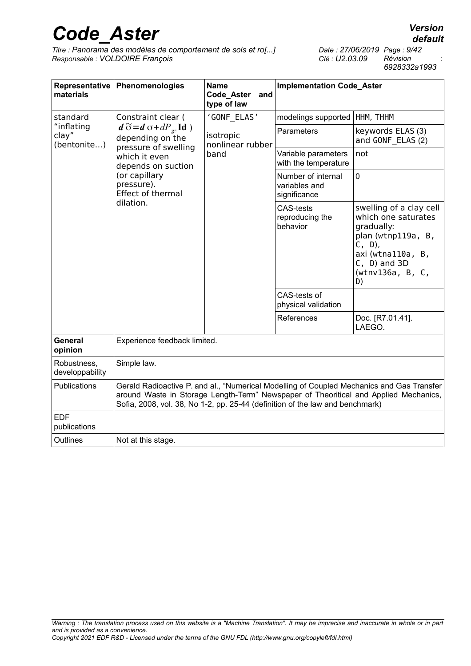*Titre : Panorama des modèles de comportement de sols et ro[...] Date : 27/06/2019 Page : 9/42*  $Responsible : VOLDOIRE$  *François* 

*6928332a1993*

| Representative<br>materials        | Phenomenologies<br><b>Name</b><br><b>Implementation Code_Aster</b><br>Code Aster and<br>type of law   |                                                 |                                                                                                                                                                      |                                                                                                                                                                                   |
|------------------------------------|-------------------------------------------------------------------------------------------------------|-------------------------------------------------|----------------------------------------------------------------------------------------------------------------------------------------------------------------------|-----------------------------------------------------------------------------------------------------------------------------------------------------------------------------------|
| standard                           | Constraint clear (                                                                                    | 'GONF ELAS'                                     | modelings supported   HHM, THHM                                                                                                                                      |                                                                                                                                                                                   |
| "inflating<br>clay"<br>(bentonite) | $d \widetilde{\sigma} = d \sigma + dP_{gz} \mathrm{Id}$ )<br>depending on the<br>pressure of swelling | isotropic<br>nonlinear rubber                   | Parameters                                                                                                                                                           | keywords ELAS (3)<br>and GONF ELAS (2)                                                                                                                                            |
|                                    | which it even<br>depends on suction                                                                   | band                                            | Variable parameters<br>with the temperature                                                                                                                          | not                                                                                                                                                                               |
|                                    | (or capillary<br>pressure).<br>Effect of thermal                                                      |                                                 | Number of internal<br>variables and<br>significance                                                                                                                  | $\mathbf 0$                                                                                                                                                                       |
| dilation.                          |                                                                                                       | <b>CAS-tests</b><br>reproducing the<br>behavior | swelling of a clay cell<br>which one saturates<br>gradually:<br>plan (wtnp119a, B,<br>$(C, D)$ ,<br>axi (wtna110a, B,<br>$(C, D)$ and $3D$<br>(wtnv136a, B, C,<br>D) |                                                                                                                                                                                   |
|                                    |                                                                                                       | CAS-tests of<br>physical validation             |                                                                                                                                                                      |                                                                                                                                                                                   |
|                                    |                                                                                                       |                                                 | References                                                                                                                                                           | Doc. [R7.01.41].<br>LAEGO.                                                                                                                                                        |
| <b>General</b><br>opinion          | Experience feedback limited.                                                                          |                                                 |                                                                                                                                                                      |                                                                                                                                                                                   |
| Robustness,<br>developpability     | Simple law.                                                                                           |                                                 |                                                                                                                                                                      |                                                                                                                                                                                   |
| Publications                       | Sofia, 2008, vol. 38, No 1-2, pp. 25-44 (definition of the law and benchmark)                         |                                                 |                                                                                                                                                                      | Gerald Radioactive P. and al., "Numerical Modelling of Coupled Mechanics and Gas Transfer<br>around Waste in Storage Length-Term" Newspaper of Theoritical and Applied Mechanics, |
| <b>EDF</b><br>publications         |                                                                                                       |                                                 |                                                                                                                                                                      |                                                                                                                                                                                   |
| Outlines                           | Not at this stage.                                                                                    |                                                 |                                                                                                                                                                      |                                                                                                                                                                                   |

*default*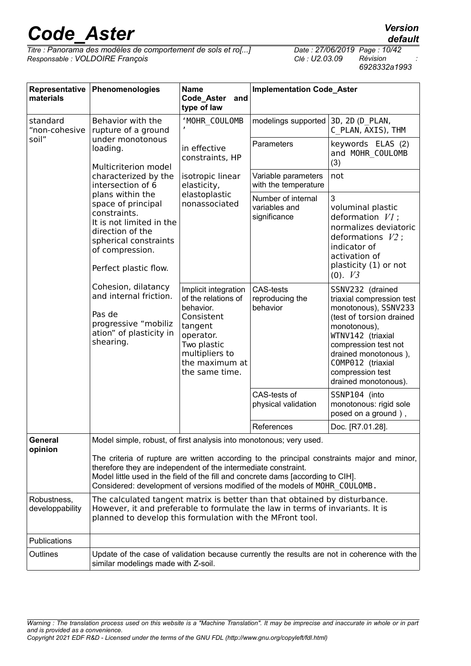*Titre : Panorama des modèles de comportement de sols et ro[...] Date : 27/06/2019 Page : 10/42*  $Responsible : VOLDOIRE$  *François* 

| Representative<br>materials    | Phenomenologies                                                                                                                                                                                                                                                                                          | <b>Name</b><br>Code_Aster<br>and<br>type of law                                                                                                                     | <b>Implementation Code_Aster</b>                    |                                                                                                                                                                                                                                                         |  |
|--------------------------------|----------------------------------------------------------------------------------------------------------------------------------------------------------------------------------------------------------------------------------------------------------------------------------------------------------|---------------------------------------------------------------------------------------------------------------------------------------------------------------------|-----------------------------------------------------|---------------------------------------------------------------------------------------------------------------------------------------------------------------------------------------------------------------------------------------------------------|--|
| standard<br>"non-cohesive      | Behavior with the<br>rupture of a ground                                                                                                                                                                                                                                                                 | 'MOHR COULOMB                                                                                                                                                       | modelings supported                                 | 3D, 2D (D PLAN,<br>C PLAN, AXIS), THM                                                                                                                                                                                                                   |  |
| soil"                          | under monotonous<br>loading.<br>Multicriterion model                                                                                                                                                                                                                                                     | in effective<br>constraints, HP                                                                                                                                     | Parameters                                          | keywords ELAS (2)<br>and MOHR COULOMB<br>(3)                                                                                                                                                                                                            |  |
|                                | characterized by the<br>intersection of 6                                                                                                                                                                                                                                                                | isotropic linear<br>elasticity,                                                                                                                                     | Variable parameters<br>with the temperature         | not                                                                                                                                                                                                                                                     |  |
|                                | plans within the<br>space of principal<br>constraints.<br>It is not limited in the<br>direction of the<br>spherical constraints<br>of compression.<br>Perfect plastic flow.                                                                                                                              | elastoplastic<br>nonassociated                                                                                                                                      | Number of internal<br>variables and<br>significance | 3<br>voluminal plastic<br>deformation $VI$ ;<br>normalizes deviatoric<br>deformations $V2$ ;<br>indicator of<br>activation of<br>plasticity (1) or not<br>$(0)$ . $V3$                                                                                  |  |
|                                | Cohesion, dilatancy<br>and internal friction.<br>Pas de<br>progressive "mobiliz<br>ation" of plasticity in<br>shearing.                                                                                                                                                                                  | Implicit integration<br>of the relations of<br>behavior.<br>Consistent<br>tangent<br>operator.<br>Two plastic<br>multipliers to<br>the maximum at<br>the same time. | <b>CAS-tests</b><br>reproducing the<br>behavior     | SSNV232 (drained<br>triaxial compression test<br>monotonous), SSNV233<br>(test of torsion drained<br>monotonous),<br>WTNV142 (triaxial<br>compression test not<br>drained monotonous),<br>COMP012 (triaxial<br>compression test<br>drained monotonous). |  |
|                                |                                                                                                                                                                                                                                                                                                          |                                                                                                                                                                     | CAS-tests of<br>physical validation                 | SSNP104 (into<br>monotonous: rigid sole<br>posed on a ground),                                                                                                                                                                                          |  |
|                                |                                                                                                                                                                                                                                                                                                          |                                                                                                                                                                     | References                                          | Doc. [R7.01.28].                                                                                                                                                                                                                                        |  |
| General<br>opinion             | Model simple, robust, of first analysis into monotonous; very used.<br>therefore they are independent of the intermediate constraint.<br>Model little used in the field of the fill and concrete dams [according to CIH].<br>Considered: development of versions modified of the models of MOHR COULOMB. |                                                                                                                                                                     |                                                     | The criteria of rupture are written according to the principal constraints major and minor,                                                                                                                                                             |  |
| Robustness,<br>developpability | The calculated tangent matrix is better than that obtained by disturbance.<br>However, it and preferable to formulate the law in terms of invariants. It is<br>planned to develop this formulation with the MFront tool.                                                                                 |                                                                                                                                                                     |                                                     |                                                                                                                                                                                                                                                         |  |
| Publications                   |                                                                                                                                                                                                                                                                                                          |                                                                                                                                                                     |                                                     |                                                                                                                                                                                                                                                         |  |
| Outlines                       | similar modelings made with Z-soil.                                                                                                                                                                                                                                                                      |                                                                                                                                                                     |                                                     | Update of the case of validation because currently the results are not in coherence with the                                                                                                                                                            |  |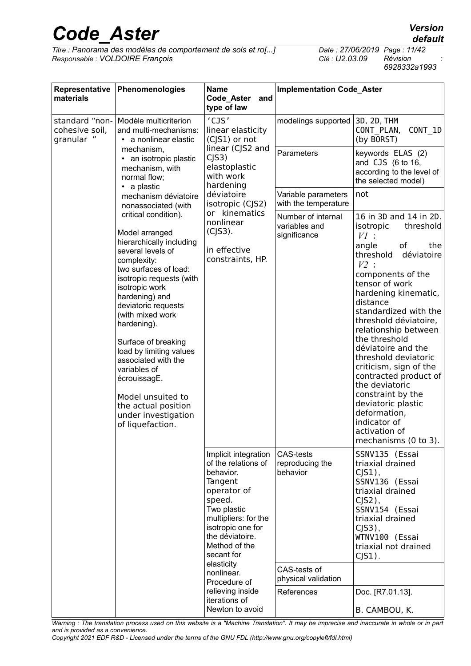*Titre : Panorama des modèles de comportement de sols et ro[...] Date : 27/06/2019 Page : 11/42*  $Responsible : VOLDOIRE$  *François* 

*6928332a1993*

| Representative<br>materials                    | Phenomenologies                                                                                                                                                                                                                                                                                                                                                                                                                                           | <b>Name</b><br>Code_Aster<br>and<br>type of law                                                                                                                                                                                                                                                                | <b>Implementation Code_Aster</b>                                                                     |                                                                                                                                                                                                                                                                                                                                                                                                                                                                                                            |
|------------------------------------------------|-----------------------------------------------------------------------------------------------------------------------------------------------------------------------------------------------------------------------------------------------------------------------------------------------------------------------------------------------------------------------------------------------------------------------------------------------------------|----------------------------------------------------------------------------------------------------------------------------------------------------------------------------------------------------------------------------------------------------------------------------------------------------------------|------------------------------------------------------------------------------------------------------|------------------------------------------------------------------------------------------------------------------------------------------------------------------------------------------------------------------------------------------------------------------------------------------------------------------------------------------------------------------------------------------------------------------------------------------------------------------------------------------------------------|
| standard "non-<br>cohesive soil,<br>granular " | Modèle multicriterion<br>and multi-mechanisms:<br>• a nonlinear elastic                                                                                                                                                                                                                                                                                                                                                                                   | 'CJS'<br>linear elasticity<br>(CJS1) or not                                                                                                                                                                                                                                                                    | modelings supported                                                                                  | 3D, 2D, THM<br>CONT PLAN,<br>CONT 1D<br>(by BORST)                                                                                                                                                                                                                                                                                                                                                                                                                                                         |
|                                                | mechanism,<br>an isotropic plastic<br>mechanism, with<br>normal flow;<br>• a plastic                                                                                                                                                                                                                                                                                                                                                                      | linear (CJS2 and<br>C <sub>J</sub> S3<br>elastoplastic<br>with work<br>hardening                                                                                                                                                                                                                               | Parameters                                                                                           | keywords ELAS (2)<br>and CJS (6 to 16,<br>according to the level of<br>the selected model)                                                                                                                                                                                                                                                                                                                                                                                                                 |
|                                                | mechanism déviatoire<br>nonassociated (with                                                                                                                                                                                                                                                                                                                                                                                                               | déviatoire<br>isotropic (CJS2)                                                                                                                                                                                                                                                                                 | Variable parameters<br>with the temperature                                                          | not                                                                                                                                                                                                                                                                                                                                                                                                                                                                                                        |
|                                                | critical condition).<br>Model arranged<br>hierarchically including<br>several levels of<br>complexity:<br>two surfaces of load:<br>isotropic requests (with<br>isotropic work<br>hardening) and<br>deviatoric requests<br>(with mixed work<br>hardening).<br>Surface of breaking<br>load by limiting values<br>associated with the<br>variables of<br>écrouissagE.<br>Model unsuited to<br>the actual position<br>under investigation<br>of liquefaction. | or kinematics<br>nonlinear<br>$(C S3)$ .<br>in effective<br>constraints, HP.                                                                                                                                                                                                                                   | Number of internal<br>variables and<br>significance                                                  | 16 in 3D and 14 in 2D.<br>isotropic<br>threshold<br>$VI$ :<br>of<br>angle<br>the<br>threshold<br>déviatoire<br>$V2$ :<br>components of the<br>tensor of work<br>hardening kinematic,<br>distance<br>standardized with the<br>threshold déviatoire,<br>relationship between<br>the threshold<br>déviatoire and the<br>threshold deviatoric<br>criticism, sign of the<br>contracted product of<br>the deviatoric<br>constraint by the<br>deviatoric plastic<br>deformation,<br>indicator of<br>activation of |
|                                                |                                                                                                                                                                                                                                                                                                                                                                                                                                                           | Implicit integration<br>of the relations of<br>behavior.<br>Tangent<br>operator of<br>speed.<br>Two plastic<br>multipliers: for the<br>isotropic one for<br>the déviatoire.<br>Method of the<br>secant for<br>elasticity<br>nonlinear.<br>Procedure of<br>relieving inside<br>iterations of<br>Newton to avoid | <b>CAS-tests</b><br>reproducing the<br>behavior<br>CAS-tests of<br>physical validation<br>References | mechanisms (0 to 3).<br>SSNV135 (Essai<br>triaxial drained<br>$CJS1$ ),<br>SSNV136 (Essai<br>triaxial drained<br>$CJS2$ ),<br>SSNV154 (Essai<br>triaxial drained<br>$CJS3$ ),<br>WTNV100 (Essai<br>triaxial not drained<br>$CJS1$ ).<br>Doc. [R7.01.13].<br>B. CAMBOU, K.                                                                                                                                                                                                                                  |

*Warning : The translation process used on this website is a "Machine Translation". It may be imprecise and inaccurate in whole or in part and is provided as a convenience.*

*Copyright 2021 EDF R&D - Licensed under the terms of the GNU FDL (http://www.gnu.org/copyleft/fdl.html)*

*default*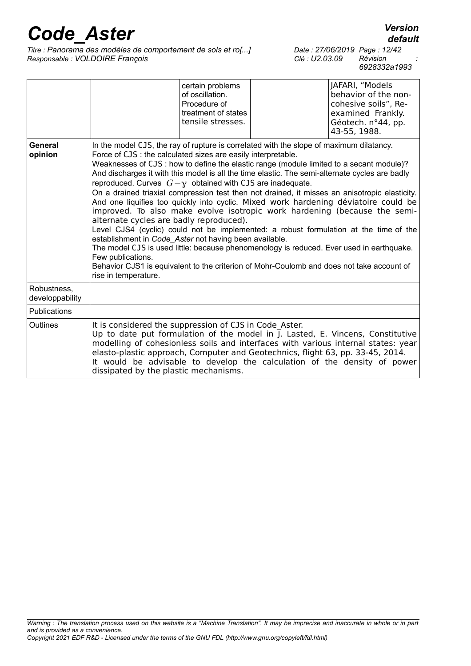*default*

*Titre : Panorama des modèles de comportement de sols et ro[...] Date : 27/06/2019 Page : 12/42*  $Responsible : VOLDOIRE$  *François* 

|                                |                                                                                                                                                                                                                                                                                                                                                                                                                                                                                                                                                                                                                                                                                                                                                                        | certain problems<br>of oscillation.<br>Procedure of<br>treatment of states<br>tensile stresses. | JAFARI, "Models<br>behavior of the non-<br>cohesive soils", Re-<br>examined Frankly.<br>Géotech. n°44, pp.<br>43-55, 1988.                                                                                                                                                                                                                                 |
|--------------------------------|------------------------------------------------------------------------------------------------------------------------------------------------------------------------------------------------------------------------------------------------------------------------------------------------------------------------------------------------------------------------------------------------------------------------------------------------------------------------------------------------------------------------------------------------------------------------------------------------------------------------------------------------------------------------------------------------------------------------------------------------------------------------|-------------------------------------------------------------------------------------------------|------------------------------------------------------------------------------------------------------------------------------------------------------------------------------------------------------------------------------------------------------------------------------------------------------------------------------------------------------------|
| General<br>opinion             | In the model CJS, the ray of rupture is correlated with the slope of maximum dilatancy.<br>Force of CJS : the calculated sizes are easily interpretable.<br>Weaknesses of CJS : how to define the elastic range (module limited to a secant module)?<br>And discharges it with this model is all the time elastic. The semi-alternate cycles are badly<br>reproduced. Curves $G - \gamma$ obtained with CJS are inadequate.<br>alternate cycles are badly reproduced).<br>establishment in Code Aster not having been available.<br>The model CJS is used little: because phenomenology is reduced. Ever used in earthquake.<br>Few publications.<br>Behavior CJS1 is equivalent to the criterion of Mohr-Coulomb and does not take account of<br>rise in temperature. |                                                                                                 | On a drained triaxial compression test then not drained, it misses an anisotropic elasticity.<br>And one liquifies too quickly into cyclic. Mixed work hardening déviatoire could be<br>improved. To also make evolve isotropic work hardening (because the semi-<br>Level CJS4 (cyclic) could not be implemented: a robust formulation at the time of the |
| Robustness,<br>developpability |                                                                                                                                                                                                                                                                                                                                                                                                                                                                                                                                                                                                                                                                                                                                                                        |                                                                                                 |                                                                                                                                                                                                                                                                                                                                                            |
| <b>Publications</b>            |                                                                                                                                                                                                                                                                                                                                                                                                                                                                                                                                                                                                                                                                                                                                                                        |                                                                                                 |                                                                                                                                                                                                                                                                                                                                                            |
| Outlines                       | It is considered the suppression of CJS in Code Aster.<br>elasto-plastic approach, Computer and Geotechnics, flight 63, pp. 33-45, 2014.<br>dissipated by the plastic mechanisms.                                                                                                                                                                                                                                                                                                                                                                                                                                                                                                                                                                                      |                                                                                                 | Up to date put formulation of the model in J. Lasted, E. Vincens, Constitutive<br>modelling of cohesionless soils and interfaces with various internal states: year<br>It would be advisable to develop the calculation of the density of power                                                                                                            |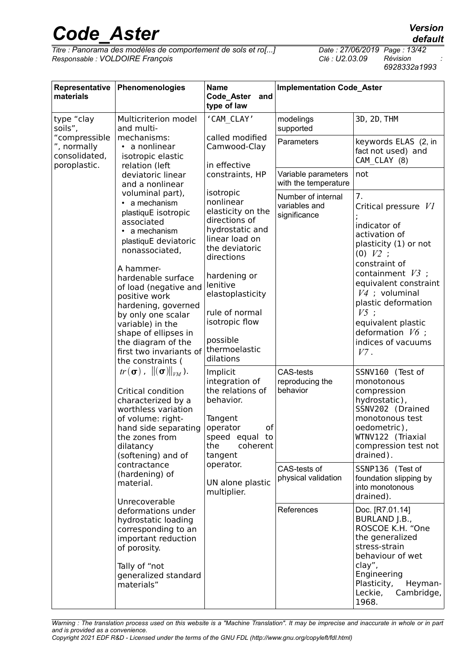*Titre : Panorama des modèles de comportement de sols et ro[...] Date : 27/06/2019 Page : 13/42*  $Responsible : VOLDOIRE$  *François* 

*6928332a1993*

| Representative<br>materials                                   | Phenomenologies                                                                                                                                                                                                                                                                                                                                                           | <b>Name</b><br>Code_Aster<br>and<br>type of law                                                                                                                                                                                                                 | <b>Implementation Code_Aster</b>                    |                                                                                                                                                                                                                                                                                                       |  |
|---------------------------------------------------------------|---------------------------------------------------------------------------------------------------------------------------------------------------------------------------------------------------------------------------------------------------------------------------------------------------------------------------------------------------------------------------|-----------------------------------------------------------------------------------------------------------------------------------------------------------------------------------------------------------------------------------------------------------------|-----------------------------------------------------|-------------------------------------------------------------------------------------------------------------------------------------------------------------------------------------------------------------------------------------------------------------------------------------------------------|--|
| type "clay<br>soils",                                         | Multicriterion model<br>and multi-                                                                                                                                                                                                                                                                                                                                        | 'CAM CLAY'                                                                                                                                                                                                                                                      | modelings<br>supported                              | 3D, 2D, THM                                                                                                                                                                                                                                                                                           |  |
| "compressible<br>", normally<br>consolidated,<br>poroplastic. | mechanisms:<br>a nonlinear<br>isotropic elastic<br>relation (left                                                                                                                                                                                                                                                                                                         | called modified<br>Camwood-Clay<br>in effective                                                                                                                                                                                                                 | Parameters                                          | keywords ELAS (2, in<br>fact not used) and<br>CAM CLAY (8)                                                                                                                                                                                                                                            |  |
|                                                               | deviatoric linear<br>and a nonlinear                                                                                                                                                                                                                                                                                                                                      | constraints, HP                                                                                                                                                                                                                                                 | Variable parameters<br>with the temperature         | not                                                                                                                                                                                                                                                                                                   |  |
|                                                               | voluminal part),<br>a mechanism<br>plastiquE isotropic<br>associated<br>a mechanism<br>plastiquE deviatoric<br>nonassociated,<br>A hammer-<br>hardenable surface<br>of load (negative and<br>positive work<br>hardening, governed<br>by only one scalar<br>variable) in the<br>shape of ellipses in<br>the diagram of the<br>first two invariants of<br>the constraints ( | isotropic<br>nonlinear<br>elasticity on the<br>directions of<br>hydrostatic and<br>linear load on<br>the deviatoric<br>directions<br>hardening or<br>lenitive<br>elastoplasticity<br>rule of normal<br>isotropic flow<br>possible<br>thermoelastic<br>dilations | Number of internal<br>variables and<br>significance | 7.<br>Critical pressure V1<br>indicator of<br>activation of<br>plasticity (1) or not<br>$(0)$ $V2$ :<br>constraint of<br>containment $V3$ :<br>equivalent constraint<br>$V4$ ; voluminal<br>plastic deformation<br>$V5$ :<br>equivalent plastic<br>deformation $V6$ ;<br>indices of vacuums<br>$V7$ . |  |
|                                                               | $tr(\boldsymbol{\sigma})$ , $\ (\boldsymbol{\sigma})\ _{VM}$ ).<br>Critical condition<br>characterized by a<br>worthless variation<br>of volume: right-<br>hand side separating<br>the zones from<br>dilatancy<br>(softening) and of                                                                                                                                      | Implicit<br>integration of<br>the relations of<br>behavior.<br>Tangent<br>of<br>operator<br>speed equal to<br>the<br>coherent<br>tangent                                                                                                                        | <b>CAS-tests</b><br>reproducing the<br>behavior     | SSNV160 (Test of<br>monotonous<br>compression<br>hydrostatic),<br>SSNV202 (Drained<br>monotonous test<br>oedometric),<br>WTNV122 (Triaxial<br>compression test not<br>drained).                                                                                                                       |  |
|                                                               | contractance<br>(hardening) of<br>material.<br>Unrecoverable                                                                                                                                                                                                                                                                                                              | operator.<br>UN alone plastic<br>multiplier.                                                                                                                                                                                                                    | CAS-tests of<br>physical validation                 | SSNP136 (Test of<br>foundation slipping by<br>into monotonous<br>drained).                                                                                                                                                                                                                            |  |
|                                                               | deformations under<br>hydrostatic loading<br>corresponding to an<br>important reduction<br>of porosity.<br>Tally of "not<br>generalized standard<br>materials"                                                                                                                                                                                                            |                                                                                                                                                                                                                                                                 | References                                          | Doc. [R7.01.14]<br>BURLAND J.B.,<br>ROSCOE K.H. "One<br>the generalized<br>stress-strain<br>behaviour of wet<br>clay",<br>Engineering<br>Plasticity,<br>Heyman-<br>Leckie,<br>Cambridge,<br>1968.                                                                                                     |  |

*Warning : The translation process used on this website is a "Machine Translation". It may be imprecise and inaccurate in whole or in part and is provided as a convenience.*

*Copyright 2021 EDF R&D - Licensed under the terms of the GNU FDL (http://www.gnu.org/copyleft/fdl.html)*

*default*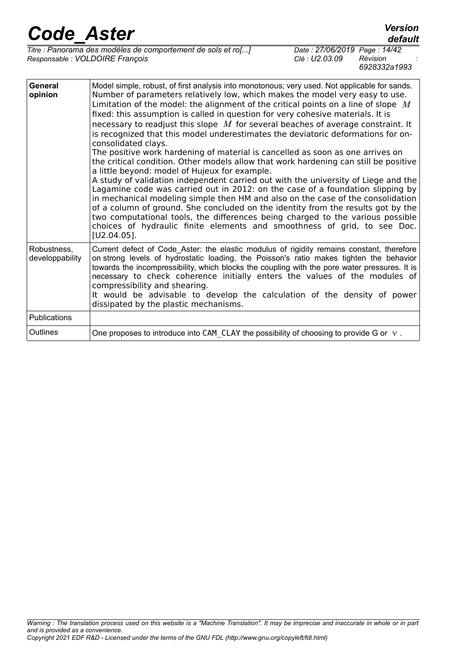*Titre : Panorama des modèles de comportement de sols et ro[...] Date : 27/06/2019 Page : 14/42*  $Responsible : VOLDOIRE$  *François* 

| General<br>opinion             | Model simple, robust, of first analysis into monotonous; very used. Not applicable for sands.<br>Number of parameters relatively low, which makes the model very easy to use.<br>Limitation of the model: the alignment of the critical points on a line of slope $M$<br>fixed: this assumption is called in question for very cohesive materials. It is<br>necessary to readjust this slope $M$ for several beaches of average constraint. It<br>is recognized that this model underestimates the deviatoric deformations for on-<br>consolidated clays.<br>The positive work hardening of material is cancelled as soon as one arrives on<br>the critical condition. Other models allow that work hardening can still be positive<br>a little beyond: model of Hujeux for example.<br>A study of validation independent carried out with the university of Liege and the<br>Lagamine code was carried out in 2012: on the case of a foundation slipping by<br>in mechanical modeling simple then HM and also on the case of the consolidation<br>of a column of ground. She concluded on the identity from the results got by the<br>two computational tools, the differences being charged to the various possible<br>choices of hydraulic finite elements and smoothness of grid, to see Doc.<br>$[U2.04.05]$ . |
|--------------------------------|---------------------------------------------------------------------------------------------------------------------------------------------------------------------------------------------------------------------------------------------------------------------------------------------------------------------------------------------------------------------------------------------------------------------------------------------------------------------------------------------------------------------------------------------------------------------------------------------------------------------------------------------------------------------------------------------------------------------------------------------------------------------------------------------------------------------------------------------------------------------------------------------------------------------------------------------------------------------------------------------------------------------------------------------------------------------------------------------------------------------------------------------------------------------------------------------------------------------------------------------------------------------------------------------------------------------|
| Robustness,<br>developpability | Current defect of Code Aster: the elastic modulus of rigidity remains constant, therefore<br>on strong levels of hydrostatic loading, the Poisson's ratio makes tighten the behavior<br>towards the incompressibility, which blocks the coupling with the pore water pressures. It is<br>necessary to check coherence initially enters the values of the modules of<br>compressibility and shearing.<br>It would be advisable to develop the calculation of the density of power<br>dissipated by the plastic mechanisms.                                                                                                                                                                                                                                                                                                                                                                                                                                                                                                                                                                                                                                                                                                                                                                                           |
| <b>Publications</b>            |                                                                                                                                                                                                                                                                                                                                                                                                                                                                                                                                                                                                                                                                                                                                                                                                                                                                                                                                                                                                                                                                                                                                                                                                                                                                                                                     |
| Outlines                       | One proposes to introduce into CAM CLAY the possibility of choosing to provide G or $\vee$ .                                                                                                                                                                                                                                                                                                                                                                                                                                                                                                                                                                                                                                                                                                                                                                                                                                                                                                                                                                                                                                                                                                                                                                                                                        |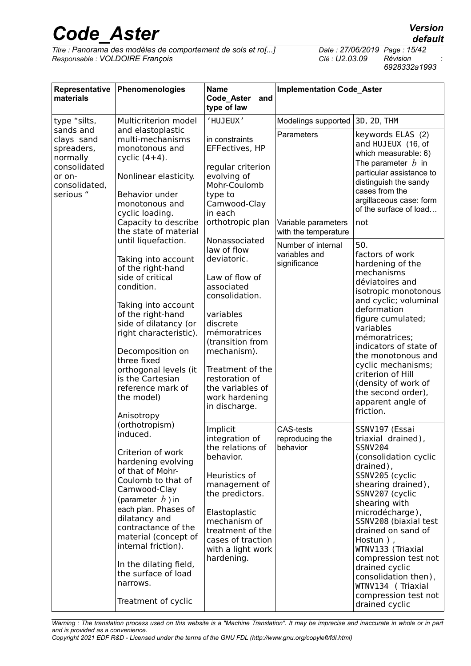*Titre : Panorama des modèles de comportement de sols et ro[...] Date : 27/06/2019 Page : 15/42*  $Responsible : VOLDOIRE$  *François* 

*default*

*6928332a1993*

| Representative<br>materials                                                                               | Phenomenologies                                                                                                                                                                                                                                                                                                                                           | <b>Name</b><br>Code_Aster<br>and<br>type of law                                                                                                                                                                                                                        | <b>Implementation Code_Aster</b>                    |                                                                                                                                                                                                                                                                                                                                                                                                                |  |
|-----------------------------------------------------------------------------------------------------------|-----------------------------------------------------------------------------------------------------------------------------------------------------------------------------------------------------------------------------------------------------------------------------------------------------------------------------------------------------------|------------------------------------------------------------------------------------------------------------------------------------------------------------------------------------------------------------------------------------------------------------------------|-----------------------------------------------------|----------------------------------------------------------------------------------------------------------------------------------------------------------------------------------------------------------------------------------------------------------------------------------------------------------------------------------------------------------------------------------------------------------------|--|
| type "silts,                                                                                              | Multicriterion model                                                                                                                                                                                                                                                                                                                                      | 'HUJEUX'                                                                                                                                                                                                                                                               | Modelings supported                                 | 3D, 2D, THM                                                                                                                                                                                                                                                                                                                                                                                                    |  |
| sands and<br>clays sand<br>spreaders,<br>normally<br>consolidated<br>or on-<br>consolidated,<br>serious " | and elastoplastic<br>multi-mechanisms<br>monotonous and<br>cyclic $(4+4)$ .<br>Nonlinear elasticity.<br>Behavior under<br>monotonous and<br>cyclic loading.                                                                                                                                                                                               | in constraints<br>EFFectives, HP<br>regular criterion<br>evolving of<br>Mohr-Coulomb<br>type to<br>Camwood-Clay<br>in each                                                                                                                                             | Parameters                                          | keywords ELAS (2)<br>and HUJEUX (16, of<br>which measurable: 6)<br>The parameter $b$ in<br>particular assistance to<br>distinguish the sandy<br>cases from the<br>argillaceous case: form<br>of the surface of load                                                                                                                                                                                            |  |
|                                                                                                           | Capacity to describe<br>the state of material                                                                                                                                                                                                                                                                                                             | orthotropic plan                                                                                                                                                                                                                                                       | Variable parameters<br>with the temperature         | not                                                                                                                                                                                                                                                                                                                                                                                                            |  |
|                                                                                                           | until liquefaction.<br>Taking into account<br>of the right-hand<br>side of critical<br>condition.<br>Taking into account<br>of the right-hand<br>side of dilatancy (or<br>right characteristic).<br>Decomposition on<br>three fixed<br>orthogonal levels (it<br>is the Cartesian<br>reference mark of<br>the model)<br>Anisotropy                         | Nonassociated<br>law of flow<br>deviatoric.<br>Law of flow of<br>associated<br>consolidation.<br>variables<br>discrete<br>mémoratrices<br>(transition from<br>mechanism).<br>Treatment of the<br>restoration of<br>the variables of<br>work hardening<br>in discharge. | Number of internal<br>variables and<br>significance | 50.<br>factors of work<br>hardening of the<br>mechanisms<br>déviatoires and<br>isotropic monotonous<br>and cyclic; voluminal<br>deformation<br>figure cumulated;<br>variables<br>mémoratrices;<br>indicators of state of<br>the monotonous and<br>cyclic mechanisms;<br>criterion of Hill<br>(density of work of<br>the second order),<br>apparent angle of<br>friction.                                       |  |
|                                                                                                           | (orthotropism)<br>induced.<br>Criterion of work<br>hardening evolving<br>of that of Mohr-<br>Coulomb to that of<br>Camwood-Clay<br>(parameter $b$ ) in<br>each plan. Phases of<br>dilatancy and<br>contractance of the<br>material (concept of<br>internal friction).<br>In the dilating field,<br>the surface of load<br>narrows.<br>Treatment of cyclic | Implicit<br>integration of<br>the relations of<br>behavior.<br>Heuristics of<br>management of<br>the predictors.<br>Elastoplastic<br>mechanism of<br>treatment of the<br>cases of traction<br>with a light work<br>hardening.                                          | <b>CAS-tests</b><br>reproducing the<br>behavior     | SSNV197 (Essai<br>triaxial drained),<br><b>SSNV204</b><br>(consolidation cyclic<br>drained),<br>SSNV205 (cyclic<br>shearing drained),<br>SSNV207 (cyclic<br>shearing with<br>microdécharge),<br>SSNV208 (biaxial test<br>drained on sand of<br>Hostun ),<br>WTNV133 (Triaxial<br>compression test not<br>drained cyclic<br>consolidation then),<br>WTNV134 (Triaxial<br>compression test not<br>drained cyclic |  |

*Warning : The translation process used on this website is a "Machine Translation". It may be imprecise and inaccurate in whole or in part and is provided as a convenience.*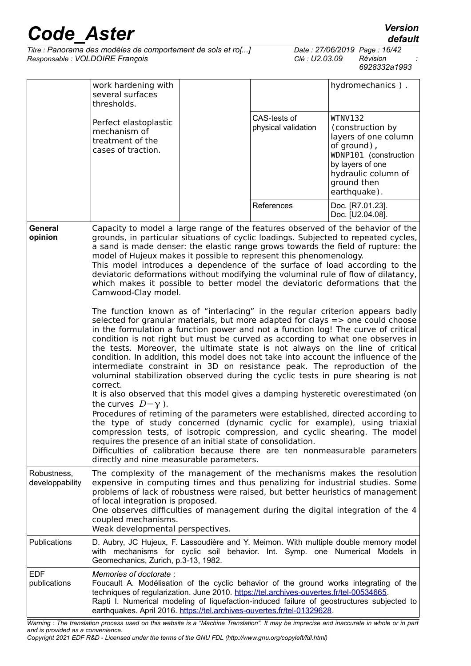| Titre : Panorama des modèles de comportement de sols et ro[] |  |
|--------------------------------------------------------------|--|
| Responsable : VOLDOIRE François                              |  |

*The : 27/06/2019 Page : 16/42*<br>*Clé : U2.03.09 Révision Responsable : VOLDOIRE François Clé : U2.03.09 Révision : 6928332a1993*

|                                | work hardening with<br>several surfaces<br>thresholds.                                                                                                                                                                                                                                                                                                                                                                                                                                                                                                                                                                                                                                                                                                                                                                                                                                                                                                                                                                                                                                                                                                                                                                                                                                                                                                                                                                                                                                                                                                                                                                                                                                                                                              |  |                                     | hydromechanics).                                                                                                                                                                                                                                                                                                               |  |  |
|--------------------------------|-----------------------------------------------------------------------------------------------------------------------------------------------------------------------------------------------------------------------------------------------------------------------------------------------------------------------------------------------------------------------------------------------------------------------------------------------------------------------------------------------------------------------------------------------------------------------------------------------------------------------------------------------------------------------------------------------------------------------------------------------------------------------------------------------------------------------------------------------------------------------------------------------------------------------------------------------------------------------------------------------------------------------------------------------------------------------------------------------------------------------------------------------------------------------------------------------------------------------------------------------------------------------------------------------------------------------------------------------------------------------------------------------------------------------------------------------------------------------------------------------------------------------------------------------------------------------------------------------------------------------------------------------------------------------------------------------------------------------------------------------------|--|-------------------------------------|--------------------------------------------------------------------------------------------------------------------------------------------------------------------------------------------------------------------------------------------------------------------------------------------------------------------------------|--|--|
|                                | Perfect elastoplastic<br>mechanism of<br>treatment of the<br>cases of traction.                                                                                                                                                                                                                                                                                                                                                                                                                                                                                                                                                                                                                                                                                                                                                                                                                                                                                                                                                                                                                                                                                                                                                                                                                                                                                                                                                                                                                                                                                                                                                                                                                                                                     |  | CAS-tests of<br>physical validation | <b>WTNV132</b><br>(construction by<br>layers of one column<br>of ground),<br>WDNP101 (construction<br>by layers of one<br>hydraulic column of<br>ground then<br>earthquake).                                                                                                                                                   |  |  |
|                                |                                                                                                                                                                                                                                                                                                                                                                                                                                                                                                                                                                                                                                                                                                                                                                                                                                                                                                                                                                                                                                                                                                                                                                                                                                                                                                                                                                                                                                                                                                                                                                                                                                                                                                                                                     |  | References                          | Doc. [R7.01.23].<br>Doc. [U2.04.08].                                                                                                                                                                                                                                                                                           |  |  |
| General<br>opinion             | Capacity to model a large range of the features observed of the behavior of the<br>grounds, in particular situations of cyclic loadings. Subjected to repeated cycles,<br>a sand is made denser: the elastic range grows towards the field of rupture: the<br>model of Hujeux makes it possible to represent this phenomenology.<br>This model introduces a dependence of the surface of load according to the<br>deviatoric deformations without modifying the voluminal rule of flow of dilatancy,<br>which makes it possible to better model the deviatoric deformations that the<br>Camwood-Clay model.<br>The function known as of "interlacing" in the regular criterion appears badly<br>selected for granular materials, but more adapted for clays $\Rightarrow$ one could choose<br>in the formulation a function power and not a function log! The curve of critical<br>condition is not right but must be curved as according to what one observes in<br>the tests. Moreover, the ultimate state is not always on the line of critical<br>condition. In addition, this model does not take into account the influence of the<br>intermediate constraint in 3D on resistance peak. The reproduction of the<br>voluminal stabilization observed during the cyclic tests in pure shearing is not<br>correct.<br>It is also observed that this model gives a damping hysteretic overestimated (on<br>the curves $D-\gamma$ ).<br>Procedures of retiming of the parameters were established, directed according to<br>the type of study concerned (dynamic cyclic for example), using triaxial<br>compression tests, of isotropic compression, and cyclic shearing. The model<br>requires the presence of an initial state of consolidation. |  |                                     |                                                                                                                                                                                                                                                                                                                                |  |  |
| Robustness,<br>developpability | of local integration is proposed.<br>coupled mechanisms.<br>Weak developmental perspectives.                                                                                                                                                                                                                                                                                                                                                                                                                                                                                                                                                                                                                                                                                                                                                                                                                                                                                                                                                                                                                                                                                                                                                                                                                                                                                                                                                                                                                                                                                                                                                                                                                                                        |  |                                     | The complexity of the management of the mechanisms makes the resolution<br>expensive in computing times and thus penalizing for industrial studies. Some<br>problems of lack of robustness were raised, but better heuristics of management<br>One observes difficulties of management during the digital integration of the 4 |  |  |
| Publications                   | with mechanisms for cyclic soil behavior. Int. Symp. one Numerical<br>Geomechanics, Zurich, p.3-13, 1982.                                                                                                                                                                                                                                                                                                                                                                                                                                                                                                                                                                                                                                                                                                                                                                                                                                                                                                                                                                                                                                                                                                                                                                                                                                                                                                                                                                                                                                                                                                                                                                                                                                           |  |                                     | D. Aubry, JC Hujeux, F. Lassoudière and Y. Meimon. With multiple double memory model<br>Models in                                                                                                                                                                                                                              |  |  |
| <b>EDF</b><br>publications     | Memories of doctorate:<br>techniques of regularization. June 2010. https://tel.archives-ouvertes.fr/tel-00534665.<br>earthquakes. April 2016. https://tel.archives-ouvertes.fr/tel-01329628.                                                                                                                                                                                                                                                                                                                                                                                                                                                                                                                                                                                                                                                                                                                                                                                                                                                                                                                                                                                                                                                                                                                                                                                                                                                                                                                                                                                                                                                                                                                                                        |  |                                     | Foucault A. Modélisation of the cyclic behavior of the ground works integrating of the<br>Rapti I. Numerical modeling of liquefaction-induced failure of geostructures subjected to                                                                                                                                            |  |  |

*Warning : The translation process used on this website is a "Machine Translation". It may be imprecise and inaccurate in whole or in part and is provided as a convenience.*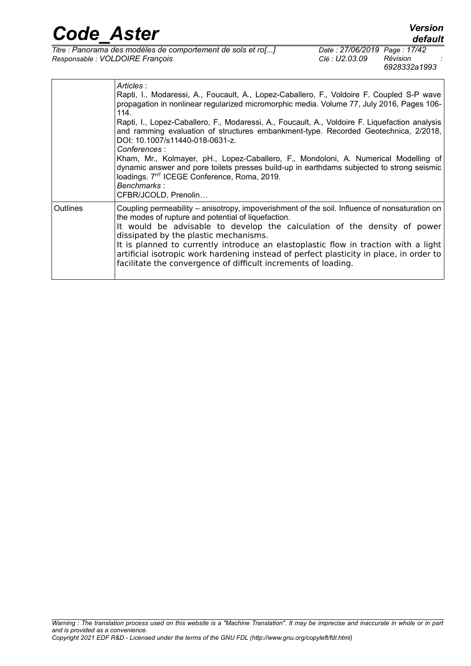| <b>Code Aster</b>               |                                                                                              |                                                | <b>Version</b><br>default |
|---------------------------------|----------------------------------------------------------------------------------------------|------------------------------------------------|---------------------------|
| Responsable : VOLDOIRE François | Titre : Panorama des modèles de comportement de sols et ro[]                                 | Date: 27/06/2019 Page: 17/42<br>Clé : U2.03.09 | Révision<br>6928332a1993  |
|                                 | Articles:<br>Modaressi A Foucault A Lonez-Caballero E Voldoire E Coupled S-P wave<br>Ranti I |                                                |                           |

|          | Rapti, I., Modaressi, A., Foucault, A., Lopez-Caballero, F., Voldoire F. Coupled S-P wave<br>propagation in nonlinear regularized micromorphic media. Volume 77, July 2016, Pages 106-<br>114.<br>Rapti, I., Lopez-Caballero, F., Modaressi, A., Foucault, A., Voldoire F. Liquefaction analysis<br>and ramming evaluation of structures embankment-type. Recorded Geotechnica, 2/2018,<br>DOI: 10.1007/s11440-018-0631-z.<br>Conferences:<br>Kham, Mr., Kolmayer, pH., Lopez-Caballero, F., Mondoloni, A. Numerical Modelling of<br>dynamic answer and pore toilets presses build-up in earthdams subjected to strong seismic<br>loadings. 7 <sup>HT</sup> ICEGE Conference, Roma, 2019.<br>Benchmarks:<br>CFBR/JCOLD, Prenolin |
|----------|----------------------------------------------------------------------------------------------------------------------------------------------------------------------------------------------------------------------------------------------------------------------------------------------------------------------------------------------------------------------------------------------------------------------------------------------------------------------------------------------------------------------------------------------------------------------------------------------------------------------------------------------------------------------------------------------------------------------------------|
| Outlines | Coupling permeability – anisotropy, impoverishment of the soil. Influence of nonsaturation on<br>the modes of rupture and potential of liquefaction.<br>It would be advisable to develop the calculation of the density of power<br>dissipated by the plastic mechanisms.<br>It is planned to currently introduce an elastoplastic flow in traction with a light<br>artificial isotropic work hardening instead of perfect plasticity in place, in order to<br>facilitate the convergence of difficult increments of loading.                                                                                                                                                                                                    |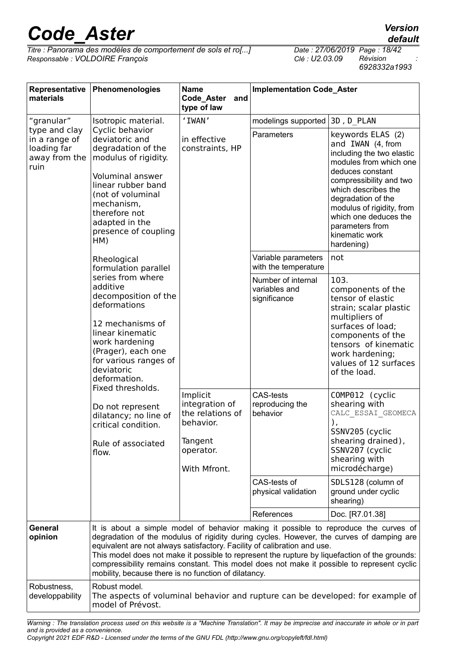*Titre : Panorama des modèles de comportement de sols et ro[...] Date : 27/06/2019 Page : 18/42*  $Responsible : VOLDOIRE$  *François* 

*6928332a1993*

| Representative<br>materials                                                                                                                                                                                                                                                                                     | Phenomenologies                                                                                                                                                                                                                                                                                                                      | <b>Name</b><br>Code_Aster<br>and<br>type of law                                                                                                                                                                                                                                                                                                                                                                                                                                                                     | <b>Implementation Code_Aster</b>                    |                                                                                                                                                                                                                                                                                                    |  |  |
|-----------------------------------------------------------------------------------------------------------------------------------------------------------------------------------------------------------------------------------------------------------------------------------------------------------------|--------------------------------------------------------------------------------------------------------------------------------------------------------------------------------------------------------------------------------------------------------------------------------------------------------------------------------------|---------------------------------------------------------------------------------------------------------------------------------------------------------------------------------------------------------------------------------------------------------------------------------------------------------------------------------------------------------------------------------------------------------------------------------------------------------------------------------------------------------------------|-----------------------------------------------------|----------------------------------------------------------------------------------------------------------------------------------------------------------------------------------------------------------------------------------------------------------------------------------------------------|--|--|
| "granular"                                                                                                                                                                                                                                                                                                      | Isotropic material.                                                                                                                                                                                                                                                                                                                  | ' IWAN'                                                                                                                                                                                                                                                                                                                                                                                                                                                                                                             | modelings supported                                 | 3D, D PLAN                                                                                                                                                                                                                                                                                         |  |  |
| Cyclic behavior<br>type and clay<br>in a range of<br>deviatoric and<br>loading far<br>degradation of the<br>away from the<br>modulus of rigidity.<br>ruin<br><b>Voluminal answer</b><br>linear rubber band<br>(not of voluminal<br>mechanism,<br>therefore not<br>adapted in the<br>presence of coupling<br>HM) |                                                                                                                                                                                                                                                                                                                                      | in effective<br>constraints, HP                                                                                                                                                                                                                                                                                                                                                                                                                                                                                     | Parameters                                          | keywords ELAS (2)<br>and IWAN (4, from<br>including the two elastic<br>modules from which one<br>deduces constant<br>compressibility and two<br>which describes the<br>degradation of the<br>modulus of rigidity, from<br>which one deduces the<br>parameters from<br>kinematic work<br>hardening) |  |  |
|                                                                                                                                                                                                                                                                                                                 | Rheological<br>formulation parallel                                                                                                                                                                                                                                                                                                  |                                                                                                                                                                                                                                                                                                                                                                                                                                                                                                                     | Variable parameters<br>with the temperature         | not                                                                                                                                                                                                                                                                                                |  |  |
|                                                                                                                                                                                                                                                                                                                 | series from where<br>additive<br>decomposition of the<br>deformations<br>12 mechanisms of<br>linear kinematic<br>work hardening<br>(Prager), each one<br>for various ranges of<br>deviatoric<br>deformation.<br>Fixed thresholds.<br>Do not represent<br>dilatancy; no line of<br>critical condition.<br>Rule of associated<br>flow. |                                                                                                                                                                                                                                                                                                                                                                                                                                                                                                                     | Number of internal<br>variables and<br>significance | 103.<br>components of the<br>tensor of elastic<br>strain; scalar plastic<br>multipliers of<br>surfaces of load;<br>components of the<br>tensors of kinematic<br>work hardening;<br>values of 12 surfaces<br>of the load.                                                                           |  |  |
|                                                                                                                                                                                                                                                                                                                 |                                                                                                                                                                                                                                                                                                                                      | Implicit<br>integration of<br>the relations of<br>behavior.<br>Tangent<br>operator.<br>With Mfront.                                                                                                                                                                                                                                                                                                                                                                                                                 | <b>CAS-tests</b><br>reproducing the<br>behavior     | COMP012 (cyclic<br>shearing with<br>CALC ESSAI GEOMECA<br>),<br>SSNV205 (cyclic<br>shearing drained),<br>SSNV207 (cyclic<br>shearing with<br>microdécharge)                                                                                                                                        |  |  |
|                                                                                                                                                                                                                                                                                                                 |                                                                                                                                                                                                                                                                                                                                      |                                                                                                                                                                                                                                                                                                                                                                                                                                                                                                                     | CAS-tests of<br>physical validation                 | SDLS128 (column of<br>ground under cyclic<br>shearing)                                                                                                                                                                                                                                             |  |  |
|                                                                                                                                                                                                                                                                                                                 |                                                                                                                                                                                                                                                                                                                                      |                                                                                                                                                                                                                                                                                                                                                                                                                                                                                                                     | References                                          | Doc. [R7.01.38]                                                                                                                                                                                                                                                                                    |  |  |
| General<br>opinion                                                                                                                                                                                                                                                                                              |                                                                                                                                                                                                                                                                                                                                      | It is about a simple model of behavior making it possible to reproduce the curves of<br>degradation of the modulus of rigidity during cycles. However, the curves of damping are<br>equivalent are not always satisfactory. Facility of calibration and use.<br>This model does not make it possible to represent the rupture by liquefaction of the grounds:<br>compressibility remains constant. This model does not make it possible to represent cyclic<br>mobility, because there is no function of dilatancy. |                                                     |                                                                                                                                                                                                                                                                                                    |  |  |
| Robustness,<br>developpability                                                                                                                                                                                                                                                                                  | Robust model.<br>model of Prévost.                                                                                                                                                                                                                                                                                                   | The aspects of voluminal behavior and rupture can be developed: for example of                                                                                                                                                                                                                                                                                                                                                                                                                                      |                                                     |                                                                                                                                                                                                                                                                                                    |  |  |

*Warning : The translation process used on this website is a "Machine Translation". It may be imprecise and inaccurate in whole or in part and is provided as a convenience.*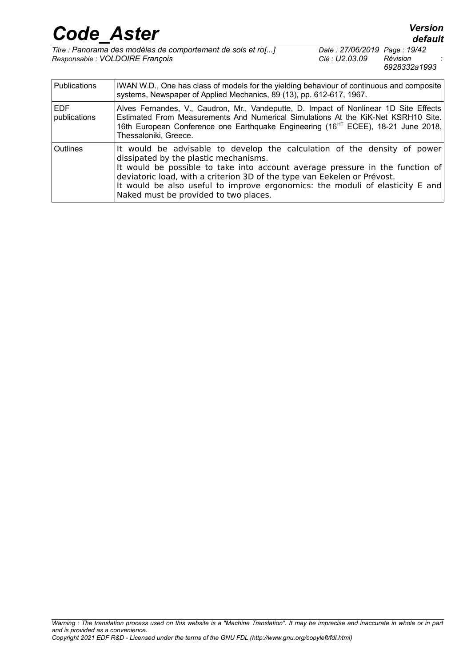| <b>Code Aster</b>                                            |                              | <b>Version</b><br>default |  |
|--------------------------------------------------------------|------------------------------|---------------------------|--|
| Titre : Panorama des modèles de comportement de sols et ro[] | Date: 27/06/2019 Page: 19/42 |                           |  |
| Responsable : VOLDOIRE François                              | Clé : U2.03.09               | Révision                  |  |

EDF

publications

Thessaloniki, Greece.

dissipated by the plastic mechanisms.

Naked must be provided to two places.

Publications | IWAN W.D., One has class of models for the yielding behaviour of continuous and composite systems, Newspaper of Applied Mechanics, 89 (13), pp. 612-617, 1967.

Outlines It would be advisable to develop the calculation of the density of power

deviatoric load, with a criterion 3D of the type van Eekelen or Prévost.

Alves Fernandes, V., Caudron, Mr., Vandeputte, D. Impact of Nonlinear 1D Site Effects Estimated From Measurements And Numerical Simulations At the KiK-Net KSRH10 Site. 16th European Conference one Earthquake Engineering (16<sup>HT</sup> ECEE), 18-21 June 2018,

It would be possible to take into account average pressure in the function of

It would be also useful to improve ergonomics: the moduli of elasticity E and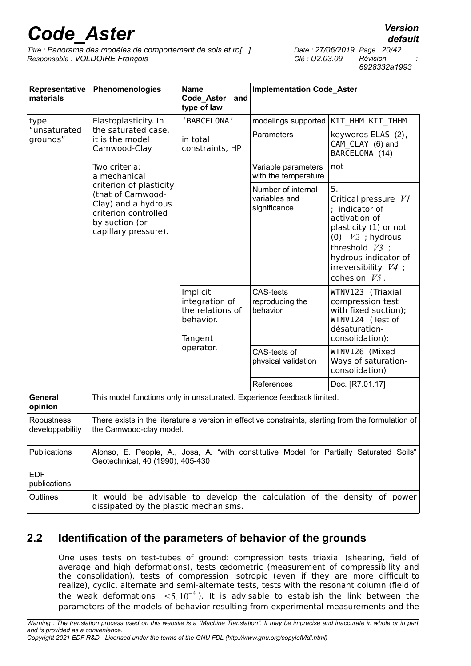*Titre : Panorama des modèles de comportement de sols et ro[...] Date : 27/06/2019 Page : 20/42 Responsable : VOLDOIRE François Clé : U2.03.09 Révision :*

*6928332a1993*

| Representative<br>materials    | Phenomenologies                                                                                                                       | <b>Name</b><br>Code_Aster<br>and<br>type of law                        | <b>Implementation Code_Aster</b>                    |                                                                                                                                                                                                       |  |
|--------------------------------|---------------------------------------------------------------------------------------------------------------------------------------|------------------------------------------------------------------------|-----------------------------------------------------|-------------------------------------------------------------------------------------------------------------------------------------------------------------------------------------------------------|--|
| type                           | Elastoplasticity. In                                                                                                                  | 'BARCELONA'                                                            |                                                     | modelings supported   KIT HHM KIT THHM                                                                                                                                                                |  |
| "unsaturated<br>grounds"       | the saturated case,<br>it is the model<br>Camwood-Clay.                                                                               | in total<br>constraints, HP                                            | Parameters                                          | keywords ELAS (2),<br>CAM CLAY (6) and<br>BARCELONA (14)                                                                                                                                              |  |
|                                | Two criteria:<br>a mechanical                                                                                                         |                                                                        | Variable parameters<br>with the temperature         | not                                                                                                                                                                                                   |  |
|                                | criterion of plasticity<br>(that of Camwood-<br>Clay) and a hydrous<br>criterion controlled<br>by suction (or<br>capillary pressure). |                                                                        | Number of internal<br>variables and<br>significance | 5.<br>Critical pressure VI<br>; indicator of<br>activation of<br>plasticity (1) or not<br>(0) $V2$ ; hydrous<br>threshold $V3$ ;<br>hydrous indicator of<br>irreversibility $V4$ ;<br>cohesion $V5$ . |  |
|                                |                                                                                                                                       | Implicit<br>integration of<br>the relations of<br>behavior.<br>Tangent | <b>CAS-tests</b><br>reproducing the<br>behavior     | WTNV123 (Triaxial<br>compression test<br>with fixed suction);<br>WTNV124 (Test of<br>désaturation-<br>consolidation);                                                                                 |  |
|                                |                                                                                                                                       | operator.                                                              | CAS-tests of<br>physical validation                 | WTNV126 (Mixed<br>Ways of saturation-<br>consolidation)                                                                                                                                               |  |
|                                |                                                                                                                                       |                                                                        | References                                          | Doc. [R7.01.17]                                                                                                                                                                                       |  |
| General<br>opinion             | This model functions only in unsaturated. Experience feedback limited.                                                                |                                                                        |                                                     |                                                                                                                                                                                                       |  |
| Robustness,<br>developpability | the Camwood-clay model.                                                                                                               |                                                                        |                                                     | There exists in the literature a version in effective constraints, starting from the formulation of                                                                                                   |  |
| Publications                   | Geotechnical, 40 (1990), 405-430                                                                                                      |                                                                        |                                                     | Alonso, E. People, A., Josa, A. "with constitutive Model for Partially Saturated Soils"                                                                                                               |  |
| <b>EDF</b><br>publications     |                                                                                                                                       |                                                                        |                                                     |                                                                                                                                                                                                       |  |
| Outlines                       | dissipated by the plastic mechanisms.                                                                                                 |                                                                        |                                                     | It would be advisable to develop the calculation of the density of power                                                                                                                              |  |

### **2.2 Identification of the parameters of behavior of the grounds**

<span id="page-19-0"></span>One uses tests on test-tubes of ground: compression tests triaxial (shearing, field of average and high deformations), tests œdometric (measurement of compressibility and the consolidation), tests of compression isotropic (even if they are more difficult to realize), cyclic, alternate and semi-alternate tests, tests with the resonant column (field of the weak deformations  $\leq 5.10^{-4}$ ). It is advisable to establish the link between the parameters of the models of behavior resulting from experimental measurements and the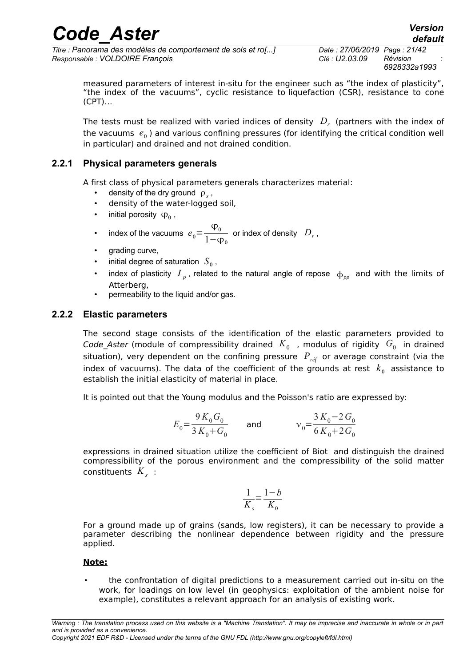*Titre : Panorama des modèles de comportement de sols et ro[...] Date : 27/06/2019 Page : 21/42 Responsable : VOLDOIRE François Clé : U2.03.09 Révision :*

*6928332a1993*

*default*

measured parameters of interest in-situ for the engineer such as "the index of plasticity", "the index of the vacuums", cyclic resistance to liquefaction (CSR), resistance to cone (CPT)…

The tests must be realized with varied indices of density  $\left\langle D_r\right\rangle$  (partners with the index of the vacuums  $e_0$ ) and various confining pressures (for identifying the critical condition well in particular) and drained and not drained condition.

#### **2.2.1 Physical parameters generals**

<span id="page-20-1"></span>A first class of physical parameters generals characterizes material:

- density of the dry ground  $\rho_s$ ,
- density of the water-logged soil,
- initial porosity  $\Phi_0$ ,
- index of the vacuums  $e_0=$  $\overline{\varphi}_0$  $1-\phi_0$ or index of density *D<sup>r</sup>* ,
- arading curve.
- $\bullet$   $\quad$  initial degree of saturation  $\ S_{\rm 0}$  ,
- index of plasticity  $I_p$ , related to the natural angle of repose  $\phi_{pp}$  and with the limits of Atterberg,
- permeability to the liquid and/or gas.

#### **2.2.2 Elastic parameters**

<span id="page-20-0"></span>The second stage consists of the identification of the elastic parameters provided to Code\_Aster (module of compressibility drained  $\,K_0\,$  , modulus of rigidity  $\,G_0\,$  in drained situation), very dependent on the confining pressure  $P_{ref}$  or average constraint (via the index of vacuums). The data of the coefficient of the grounds at rest  $\;k_0^{}\;$  assistance to establish the initial elasticity of material in place.

It is pointed out that the Young modulus and the Poisson's ratio are expressed by:

$$
E_0 = \frac{9K_0G_0}{3K_0+G_0}
$$
 and 
$$
v_0 = \frac{3K_0-2G_0}{6K_0+2G_0}
$$

expressions in drained situation utilize the coefficient of Biot and distinguish the drained compressibility of the porous environment and the compressibility of the solid matter constituents *K<sup>s</sup>* :

$$
\frac{1}{K_s} = \frac{1-b}{K_0}
$$

For a ground made up of grains (sands, low registers), it can be necessary to provide a parameter describing the nonlinear dependence between rigidity and the pressure applied.

#### **Note:**

• the confrontation of digital predictions to a measurement carried out in-situ on the work, for loadings on low level (in geophysics: exploitation of the ambient noise for example), constitutes a relevant approach for an analysis of existing work.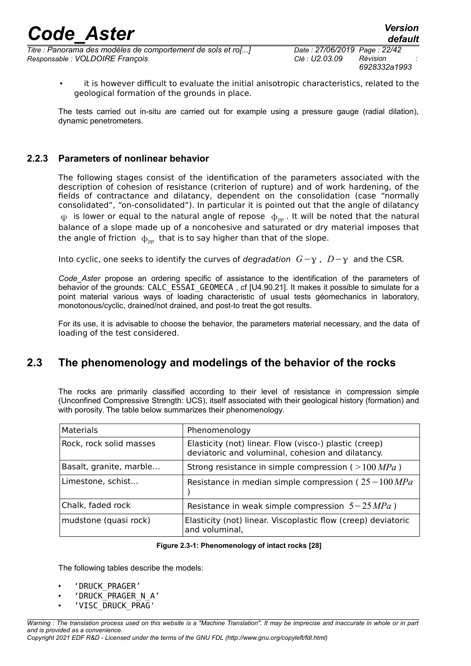*Titre : Panorama des modèles de comportement de sols et ro[...] Date : 27/06/2019 Page : 22/42 Responsable : VOLDOIRE François Clé : U2.03.09 Révision :*

*6928332a1993*

• it is however difficult to evaluate the initial anisotropic characteristics, related to the geological formation of the grounds in place.

The tests carried out in-situ are carried out for example using a pressure gauge (radial dilation), dynamic penetrometers.

### **2.2.3 Parameters of nonlinear behavior**

<span id="page-21-1"></span>The following stages consist of the identification of the parameters associated with the description of cohesion of resistance (criterion of rupture) and of work hardening, of the fields of contractance and dilatancy, dependent on the consolidation (case "normally consolidated", "on-consolidated"). In particular it is pointed out that the angle of dilatancy  $\psi$  is lower or equal to the natural angle of repose  $\phi_{\nu}$  It will be noted that the natural balance of a slope made up of a noncohesive and saturated or dry material imposes that the angle of friction  $\phi_{nn}$  that is to say higher than that of the slope.

Into cyclic, one seeks to identify the curves of *degradation G*−γ, *D*−γ and the CSR.

*Code\_Aster* propose an ordering specific of assistance to the identification of the parameters of behavior of the grounds: CALC\_ESSAI\_GEOMECA, cf [U4.90.21]. It makes it possible to simulate for a point material various ways of loading characteristic of usual tests géomechanics in laboratory, monotonous/cyclic, drained/not drained, and post-to treat the got results.

For its use, it is advisable to choose the behavior, the parameters material necessary, and the data of loading of the test considered.

### **2.3 The phenomenology and modelings of the behavior of the rocks**

<span id="page-21-0"></span>The rocks are primarily classified according to their level of resistance in compression simple (Unconfined Compressive Strength: UCS), itself associated with their geological history (formation) and with porosity. The table below summarizes their phenomenology.

| <b>Materials</b>        | Phenomenology                                                                                               |
|-------------------------|-------------------------------------------------------------------------------------------------------------|
| Rock, rock solid masses | Elasticity (not) linear. Flow (visco-) plastic (creep)<br>deviatoric and voluminal, cohesion and dilatancy. |
| Basalt, granite, marble | Strong resistance in simple compression ( $>100 MPa$ )                                                      |
| Limestone, schist       | Resistance in median simple compression ( $25-100 MPa$ )                                                    |
| Chalk, faded rock       | Resistance in weak simple compression $5-25 MPa$ )                                                          |
| mudstone (quasi rock)   | Elasticity (not) linear. Viscoplastic flow (creep) deviatoric<br>and voluminal,                             |

#### **Figure 2.3-1: Phenomenology of intact rocks [\[28\]](#page-41-3)**

The following tables describe the models:

- 'DRUCK\_PRAGER'
- 'DRUCK\_PRAGER\_N\_A'
- 'VISC\_DRUCK\_PRAG'

*Warning : The translation process used on this website is a "Machine Translation". It may be imprecise and inaccurate in whole or in part and is provided as a convenience. Copyright 2021 EDF R&D - Licensed under the terms of the GNU FDL (http://www.gnu.org/copyleft/fdl.html)*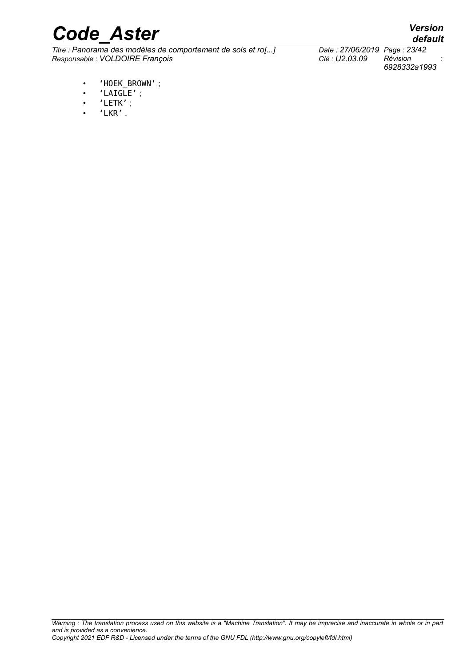*Titre : Panorama des modèles de comportement de sols et ro[...] Date : 27/06/2019 Page : 23/42*  $Responsible : VOLDOIRE$  *François* 

- 'HOEK\_BROWN' ;
- $\cdot$  'LAIGLE';
- 'LETK' ;
- 'LKR' .

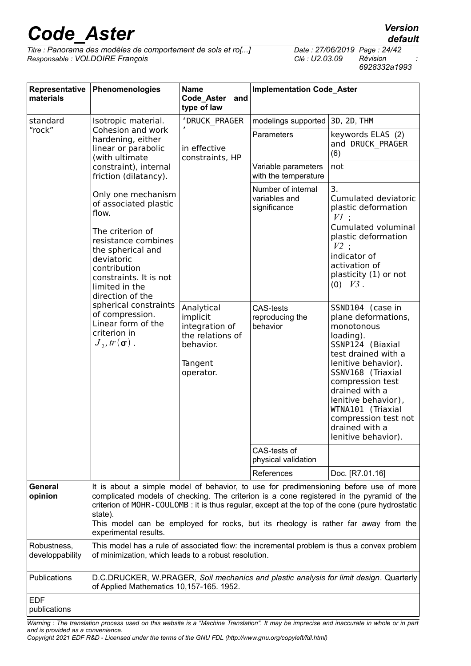*Titre : Panorama des modèles de comportement de sols et ro[...] Date : 27/06/2019 Page : 24/42*  $Responsible : VOLDOIRE$  *François* 

| Representative<br>materials    | Phenomenologies                                                                                                                                                                                                    | <b>Name</b><br>Code Aster and<br>type of law                                                      | <b>Implementation Code_Aster</b>                    |                                                                                                                                                                                                                                                                                                                                                                           |
|--------------------------------|--------------------------------------------------------------------------------------------------------------------------------------------------------------------------------------------------------------------|---------------------------------------------------------------------------------------------------|-----------------------------------------------------|---------------------------------------------------------------------------------------------------------------------------------------------------------------------------------------------------------------------------------------------------------------------------------------------------------------------------------------------------------------------------|
| standard                       | Isotropic material.                                                                                                                                                                                                | 'DRUCK_PRAGER                                                                                     | modelings supported                                 | 3D, 2D, THM                                                                                                                                                                                                                                                                                                                                                               |
| "rock"                         | Cohesion and work<br>hardening, either<br>linear or parabolic<br>(with ultimate                                                                                                                                    | in effective<br>constraints, HP                                                                   | Parameters                                          | keywords ELAS (2)<br>and DRUCK_PRAGER<br>(6)                                                                                                                                                                                                                                                                                                                              |
|                                | constraint), internal<br>friction (dilatancy).                                                                                                                                                                     |                                                                                                   | Variable parameters<br>with the temperature         | not                                                                                                                                                                                                                                                                                                                                                                       |
|                                | Only one mechanism<br>of associated plastic<br>flow.<br>The criterion of<br>resistance combines<br>the spherical and<br>deviatoric<br>contribution<br>constraints. It is not<br>limited in the<br>direction of the |                                                                                                   | Number of internal<br>variables and<br>significance | 3.<br>Cumulated deviatoric<br>plastic deformation<br>$VI$ :<br>Cumulated voluminal<br>plastic deformation<br>$V2$ ;<br>indicator of<br>activation of<br>plasticity (1) or not<br>$(0)$ $V3$ .                                                                                                                                                                             |
|                                | spherical constraints<br>of compression.<br>Linear form of the<br>criterion in<br>$J_2, tr(\boldsymbol{\sigma})$ .                                                                                                 | Analytical<br>implicit<br>integration of<br>the relations of<br>behavior.<br>Tangent<br>operator. | <b>CAS-tests</b><br>reproducing the<br>behavior     | SSND104 (case in<br>plane deformations,<br>monotonous<br>loading).<br>SSNP124 (Biaxial<br>test drained with a<br>lenitive behavior).<br>SSNV168 (Triaxial<br>compression test<br>drained with a<br>lenitive behavior),<br>WTNA101 (Triaxial<br>compression test not<br>drained with a<br>lenitive behavior).                                                              |
|                                |                                                                                                                                                                                                                    |                                                                                                   | CAS-tests of<br>physical validation                 |                                                                                                                                                                                                                                                                                                                                                                           |
|                                |                                                                                                                                                                                                                    |                                                                                                   | References                                          | Doc. [R7.01.16]                                                                                                                                                                                                                                                                                                                                                           |
| General<br>opinion             | state).<br>experimental results.                                                                                                                                                                                   |                                                                                                   |                                                     | It is about a simple model of behavior, to use for predimensioning before use of more<br>complicated models of checking. The criterion is a cone registered in the pyramid of the<br>criterion of MOHR-COULOMB: it is thus regular, except at the top of the cone (pure hydrostatic<br>This model can be employed for rocks, but its rheology is rather far away from the |
| Robustness,<br>developpability | of minimization, which leads to a robust resolution.                                                                                                                                                               |                                                                                                   |                                                     | This model has a rule of associated flow: the incremental problem is thus a convex problem                                                                                                                                                                                                                                                                                |
| Publications                   | of Applied Mathematics 10,157-165. 1952.                                                                                                                                                                           |                                                                                                   |                                                     | D.C.DRUCKER, W.PRAGER, Soil mechanics and plastic analysis for limit design. Quarterly                                                                                                                                                                                                                                                                                    |
| <b>EDF</b><br>publications     |                                                                                                                                                                                                                    |                                                                                                   |                                                     |                                                                                                                                                                                                                                                                                                                                                                           |

*Warning : The translation process used on this website is a "Machine Translation". It may be imprecise and inaccurate in whole or in part and is provided as a convenience.*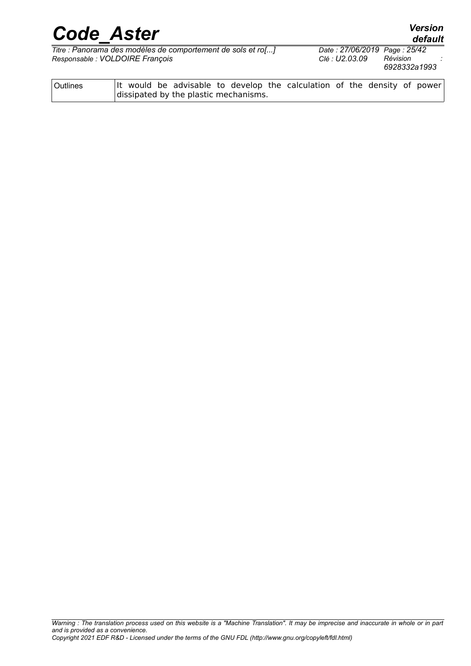*Titre : Panorama des modèles de comportement de sols et ro[...] Date : 27/06/2019 Page : 25/42*  $Responsible : VOLDOIRE$  *François* 

| <b>Outlines</b> |  |                                       |  | It would be advisable to develop the calculation of the density of power |  |  |  |
|-----------------|--|---------------------------------------|--|--------------------------------------------------------------------------|--|--|--|
|                 |  | dissipated by the plastic mechanisms. |  |                                                                          |  |  |  |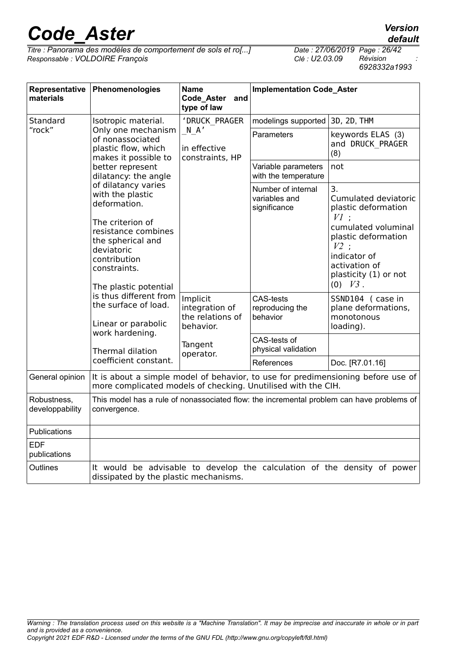*Titre : Panorama des modèles de comportement de sols et ro[...] Date : 27/06/2019 Page : 26/42*  $Responsible : VOLDOIRE$  *François* 

| Representative<br>materials    | Phenomenologies                                                                                                                                                                              | <b>Name</b><br>Code_Aster<br>and<br>type of law                                     | <b>Implementation Code_Aster</b>                    |                                                                                                                |
|--------------------------------|----------------------------------------------------------------------------------------------------------------------------------------------------------------------------------------------|-------------------------------------------------------------------------------------|-----------------------------------------------------|----------------------------------------------------------------------------------------------------------------|
| Standard                       | Isotropic material.                                                                                                                                                                          | 'DRUCK PRAGER                                                                       | modelings supported                                 | 3D, 2D, THM                                                                                                    |
| "rock"                         | Only one mechanism<br>of nonassociated<br>plastic flow, which<br>makes it possible to<br>better represent<br>dilatancy: the angle<br>of dilatancy varies<br>with the plastic<br>deformation. | N A'<br>in effective<br>constraints, HP                                             | Parameters                                          | keywords ELAS (3)<br>and DRUCK PRAGER<br>(8)                                                                   |
|                                |                                                                                                                                                                                              |                                                                                     | Variable parameters<br>with the temperature         | not                                                                                                            |
|                                |                                                                                                                                                                                              |                                                                                     | Number of internal<br>variables and<br>significance | 3.<br>Cumulated deviatoric<br>plastic deformation<br>$VI$ :                                                    |
|                                | The criterion of<br>resistance combines<br>the spherical and<br>deviatoric<br>contribution<br>constraints.                                                                                   |                                                                                     |                                                     | cumulated voluminal<br>plastic deformation<br>$V2$ :<br>indicator of<br>activation of<br>plasticity (1) or not |
|                                | The plastic potential<br>is thus different from<br>the surface of load.<br>Linear or parabolic                                                                                               |                                                                                     |                                                     | $(0)$ $V3$ .                                                                                                   |
|                                |                                                                                                                                                                                              | Implicit<br>integration of<br>the relations of<br>behavior.<br>Tangent<br>operator. | <b>CAS-tests</b><br>reproducing the<br>behavior     | SSND104 (case in<br>plane deformations,<br>monotonous<br>loading).                                             |
|                                | work hardening.<br>Thermal dilation                                                                                                                                                          |                                                                                     | CAS-tests of<br>physical validation                 |                                                                                                                |
|                                | coefficient constant.                                                                                                                                                                        |                                                                                     | References                                          | Doc. [R7.01.16]                                                                                                |
| General opinion                | more complicated models of checking. Unutilised with the CIH.                                                                                                                                |                                                                                     |                                                     | It is about a simple model of behavior, to use for predimensioning before use of                               |
| Robustness,<br>developpability | convergence.                                                                                                                                                                                 |                                                                                     |                                                     | This model has a rule of nonassociated flow: the incremental problem can have problems of                      |
| Publications                   |                                                                                                                                                                                              |                                                                                     |                                                     |                                                                                                                |
| <b>EDF</b><br>publications     |                                                                                                                                                                                              |                                                                                     |                                                     |                                                                                                                |
| Outlines                       | dissipated by the plastic mechanisms.                                                                                                                                                        |                                                                                     |                                                     | It would be advisable to develop the calculation of the density of power                                       |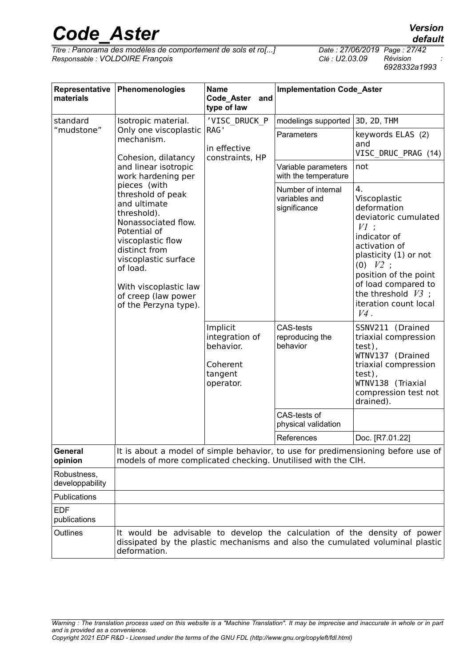*Titre : Panorama des modèles de comportement de sols et ro[...] Date : 27/06/2019 Page : 27/42*  $Responsible : VOLDOIRE$  *François* 

*default*

| Representative<br>materials    | Phenomenologies                                                                                                                                                                                                                                                                                                                                                        | <b>Name</b><br>Code_Aster<br>and<br>type of law                             | <b>Implementation Code_Aster</b>                    |                                                                                                                                                                                                                                                          |  |
|--------------------------------|------------------------------------------------------------------------------------------------------------------------------------------------------------------------------------------------------------------------------------------------------------------------------------------------------------------------------------------------------------------------|-----------------------------------------------------------------------------|-----------------------------------------------------|----------------------------------------------------------------------------------------------------------------------------------------------------------------------------------------------------------------------------------------------------------|--|
| standard                       | 'VISC DRUCK P<br>Isotropic material.                                                                                                                                                                                                                                                                                                                                   |                                                                             | modelings supported                                 | 3D, 2D, THM                                                                                                                                                                                                                                              |  |
| "mudstone"                     | Only one viscoplastic<br>mechanism.<br>Cohesion, dilatancy<br>and linear isotropic<br>work hardening per<br>pieces (with<br>threshold of peak<br>and ultimate<br>threshold).<br>Nonassociated flow.<br>Potential of<br>viscoplastic flow<br>distinct from<br>viscoplastic surface<br>of load.<br>With viscoplastic law<br>of creep (law power<br>of the Perzyna type). | RAG'<br>in effective<br>constraints, HP                                     | Parameters                                          | keywords ELAS (2)<br>and<br>VISC DRUC PRAG (14)                                                                                                                                                                                                          |  |
|                                |                                                                                                                                                                                                                                                                                                                                                                        |                                                                             | Variable parameters<br>with the temperature         | not                                                                                                                                                                                                                                                      |  |
|                                |                                                                                                                                                                                                                                                                                                                                                                        | Implicit<br>integration of<br>behavior.<br>Coherent<br>tangent<br>operator. | Number of internal<br>variables and<br>significance | 4.<br>Viscoplastic<br>deformation<br>deviatoric cumulated<br>$VI$ :<br>indicator of<br>activation of<br>plasticity (1) or not<br>$(0)$ $V2$ ;<br>position of the point<br>of load compared to<br>the threshold $V3$ ;<br>iteration count local<br>$V4$ . |  |
|                                |                                                                                                                                                                                                                                                                                                                                                                        |                                                                             | <b>CAS-tests</b><br>reproducing the<br>behavior     | SSNV211 (Drained<br>triaxial compression<br>test),<br>WTNV137 (Drained<br>triaxial compression<br>test),<br>WTNV138 (Triaxial<br>compression test not<br>drained).                                                                                       |  |
|                                |                                                                                                                                                                                                                                                                                                                                                                        |                                                                             | CAS-tests of<br>physical validation                 |                                                                                                                                                                                                                                                          |  |
|                                |                                                                                                                                                                                                                                                                                                                                                                        |                                                                             | References                                          | Doc. [R7.01.22]                                                                                                                                                                                                                                          |  |
| General<br>opinion             | models of more complicated checking. Unutilised with the CIH.                                                                                                                                                                                                                                                                                                          |                                                                             |                                                     | It is about a model of simple behavior, to use for predimensioning before use of                                                                                                                                                                         |  |
| Robustness,<br>developpability |                                                                                                                                                                                                                                                                                                                                                                        |                                                                             |                                                     |                                                                                                                                                                                                                                                          |  |
| Publications                   |                                                                                                                                                                                                                                                                                                                                                                        |                                                                             |                                                     |                                                                                                                                                                                                                                                          |  |
| <b>EDF</b><br>publications     |                                                                                                                                                                                                                                                                                                                                                                        |                                                                             |                                                     |                                                                                                                                                                                                                                                          |  |
| Outlines                       | deformation.                                                                                                                                                                                                                                                                                                                                                           |                                                                             |                                                     | It would be advisable to develop the calculation of the density of power<br>dissipated by the plastic mechanisms and also the cumulated voluminal plastic                                                                                                |  |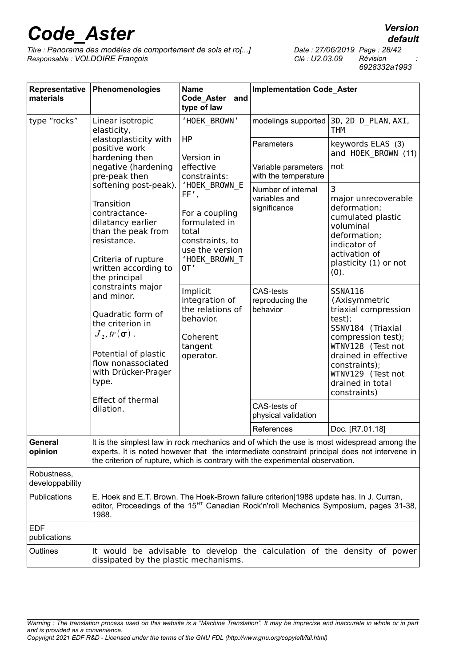*Titre : Panorama des modèles de comportement de sols et ro[...] Date : 27/06/2019 Page : 28/42*  $Responsible : VOLDOIRE$  *François* 

| Representative<br>materials    | Phenomenologies                                                                                                                                                                                                                                                                                                                                                                                      | <b>Name</b><br>Code_Aster<br>and<br>type of law                                                                                                                                                                     | <b>Implementation Code_Aster</b>                    |                                                                                                                                                                                                                                     |  |  |
|--------------------------------|------------------------------------------------------------------------------------------------------------------------------------------------------------------------------------------------------------------------------------------------------------------------------------------------------------------------------------------------------------------------------------------------------|---------------------------------------------------------------------------------------------------------------------------------------------------------------------------------------------------------------------|-----------------------------------------------------|-------------------------------------------------------------------------------------------------------------------------------------------------------------------------------------------------------------------------------------|--|--|
| type "rocks"                   | Linear isotropic<br>elasticity,                                                                                                                                                                                                                                                                                                                                                                      | 'HOEK BROWN'                                                                                                                                                                                                        |                                                     | modelings supported 3D, 2D D PLAN, AXI,<br><b>THM</b>                                                                                                                                                                               |  |  |
|                                | elastoplasticity with<br>positive work<br>hardening then                                                                                                                                                                                                                                                                                                                                             | HP<br>Version in                                                                                                                                                                                                    | Parameters                                          | keywords ELAS (3)<br>and HOEK BROWN (11)                                                                                                                                                                                            |  |  |
|                                | negative (hardening<br>pre-peak then                                                                                                                                                                                                                                                                                                                                                                 | effective<br>constraints:                                                                                                                                                                                           | Variable parameters<br>with the temperature         | not                                                                                                                                                                                                                                 |  |  |
|                                | softening post-peak).<br>FF',<br>Transition<br>contractance-<br>dilatancy earlier<br>than the peak from<br>resistance.<br>Criteria of rupture<br>written according to<br>0 <sup>T</sup><br>the principal<br>constraints major<br>and minor.<br>Quadratic form of<br>the criterion in<br>$J_{\gamma}$ , tr $(\sigma)$ .<br>Potential of plastic<br>flow nonassociated<br>with Drücker-Prager<br>type. | 'HOEK BROWN E<br>For a coupling<br>formulated in<br>total<br>constraints, to<br>use the version<br>'HOEK BROWN T<br>Implicit<br>integration of<br>the relations of<br>behavior.<br>Coherent<br>tangent<br>operator. | Number of internal<br>variables and<br>significance | 3<br>major unrecoverable<br>deformation;<br>cumulated plastic<br>voluminal<br>deformation;<br>indicator of<br>activation of<br>plasticity (1) or not<br>(0).                                                                        |  |  |
|                                |                                                                                                                                                                                                                                                                                                                                                                                                      |                                                                                                                                                                                                                     | <b>CAS-tests</b><br>reproducing the<br>behavior     | <b>SSNA116</b><br>(Axisymmetric<br>triaxial compression<br>test);<br>SSNV184 (Triaxial<br>compression test);<br>WTNV128 (Test not<br>drained in effective<br>constraints);<br>WTNV129 (Test not<br>drained in total<br>constraints) |  |  |
|                                | <b>Effect of thermal</b><br>dilation.                                                                                                                                                                                                                                                                                                                                                                |                                                                                                                                                                                                                     | CAS-tests of<br>physical validation                 |                                                                                                                                                                                                                                     |  |  |
|                                |                                                                                                                                                                                                                                                                                                                                                                                                      |                                                                                                                                                                                                                     | References                                          | Doc. [R7.01.18]                                                                                                                                                                                                                     |  |  |
| General<br>opinion             | the criterion of rupture, which is contrary with the experimental observation.                                                                                                                                                                                                                                                                                                                       |                                                                                                                                                                                                                     |                                                     | It is the simplest law in rock mechanics and of which the use is most widespread among the<br>experts. It is noted however that the intermediate constraint principal does not intervene in                                         |  |  |
| Robustness,<br>developpability |                                                                                                                                                                                                                                                                                                                                                                                                      |                                                                                                                                                                                                                     |                                                     |                                                                                                                                                                                                                                     |  |  |
| Publications                   | E. Hoek and E.T. Brown. The Hoek-Brown failure criterion 1988 update has. In J. Curran,<br>editor, Proceedings of the 15 <sup>HT</sup> Canadian Rock'n'roll Mechanics Symposium, pages 31-38,<br>1988.                                                                                                                                                                                               |                                                                                                                                                                                                                     |                                                     |                                                                                                                                                                                                                                     |  |  |
| <b>EDF</b><br>publications     |                                                                                                                                                                                                                                                                                                                                                                                                      |                                                                                                                                                                                                                     |                                                     |                                                                                                                                                                                                                                     |  |  |
| Outlines                       | dissipated by the plastic mechanisms.                                                                                                                                                                                                                                                                                                                                                                |                                                                                                                                                                                                                     |                                                     | It would be advisable to develop the calculation of the density of power                                                                                                                                                            |  |  |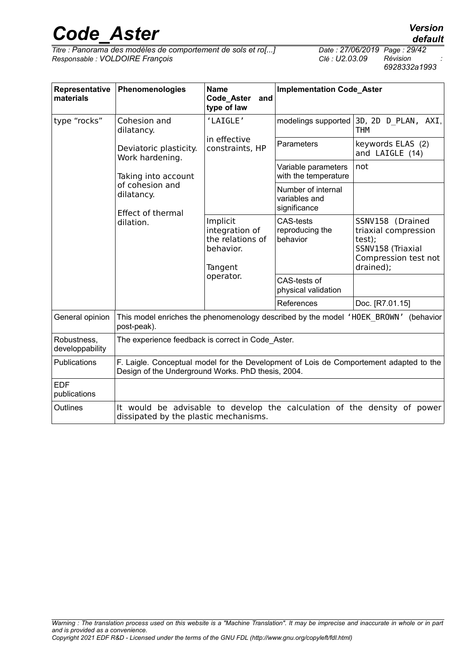*Titre : Panorama des modèles de comportement de sols et ro[...] Date : 27/06/2019 Page : 29/42*  $Responsible : VOLDOIRE$  *François* 

*default*

*6928332a1993*

| Representative<br>materials                | Phenomenologies                                                                                                                              | <b>Name</b><br>Code_Aster<br>and<br>type of law                                     | <b>Implementation Code_Aster</b>                    |                                                                                                              |
|--------------------------------------------|----------------------------------------------------------------------------------------------------------------------------------------------|-------------------------------------------------------------------------------------|-----------------------------------------------------|--------------------------------------------------------------------------------------------------------------|
| type "rocks"<br>Cohesion and<br>dilatancy. |                                                                                                                                              | 'LAIGLE'<br>in effective<br>constraints, HP                                         | modelings supported                                 | 3D, 2D D PLAN, AXI,<br><b>THM</b>                                                                            |
|                                            | Deviatoric plasticity.<br>Work hardening.                                                                                                    |                                                                                     | Parameters                                          | keywords ELAS (2)<br>and LAIGLE (14)                                                                         |
|                                            | Taking into account                                                                                                                          |                                                                                     | Variable parameters<br>with the temperature         | not                                                                                                          |
|                                            | of cohesion and<br>dilatancy.<br><b>Effect of thermal</b>                                                                                    |                                                                                     | Number of internal<br>variables and<br>significance |                                                                                                              |
|                                            | dilation.                                                                                                                                    | Implicit<br>integration of<br>the relations of<br>behavior.<br>Tangent<br>operator. | <b>CAS-tests</b><br>reproducing the<br>behavior     | SSNV158 (Drained<br>triaxial compression<br>test);<br>SSNV158 (Triaxial<br>Compression test not<br>drained); |
|                                            |                                                                                                                                              |                                                                                     | CAS-tests of<br>physical validation                 |                                                                                                              |
|                                            |                                                                                                                                              |                                                                                     | References                                          | Doc. [R7.01.15]                                                                                              |
| General opinion                            | post-peak).                                                                                                                                  |                                                                                     |                                                     | This model enriches the phenomenology described by the model 'HOEK BROWN' (behavior                          |
| Robustness,<br>developpability             | The experience feedback is correct in Code Aster.                                                                                            |                                                                                     |                                                     |                                                                                                              |
| <b>Publications</b>                        | F. Laigle. Conceptual model for the Development of Lois de Comportement adapted to the<br>Design of the Underground Works. PhD thesis, 2004. |                                                                                     |                                                     |                                                                                                              |
| <b>EDF</b><br>publications                 |                                                                                                                                              |                                                                                     |                                                     |                                                                                                              |
| Outlines                                   | dissipated by the plastic mechanisms.                                                                                                        |                                                                                     |                                                     | It would be advisable to develop the calculation of the density of power                                     |

*Warning : The translation process used on this website is a "Machine Translation". It may be imprecise and inaccurate in whole or in part and is provided as a convenience. Copyright 2021 EDF R&D - Licensed under the terms of the GNU FDL (http://www.gnu.org/copyleft/fdl.html)*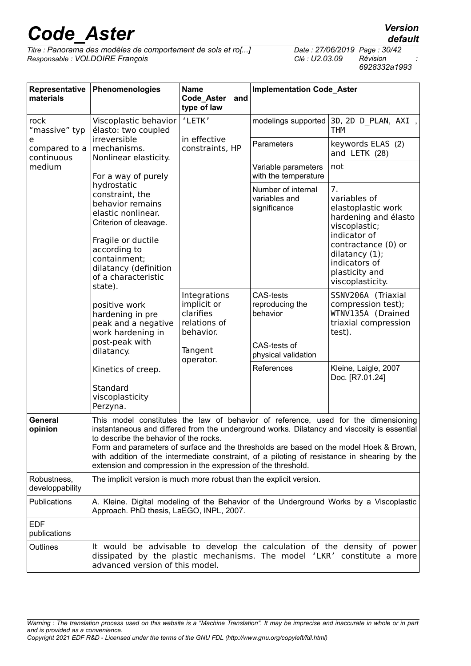*Titre : Panorama des modèles de comportement de sols et ro[...] Date : 27/06/2019 Page : 30/42*  $Responsible : VOLDOIRE$  *François* 

| Representative<br>materials      | Phenomenologies                                                                                                                                                                                                                                                                                                                                                                                                                                                                        | <b>Name</b><br>Code_Aster<br>and<br>type of law                                                           | <b>Implementation Code_Aster</b>                    |                                                                                                                                                                                                   |  |
|----------------------------------|----------------------------------------------------------------------------------------------------------------------------------------------------------------------------------------------------------------------------------------------------------------------------------------------------------------------------------------------------------------------------------------------------------------------------------------------------------------------------------------|-----------------------------------------------------------------------------------------------------------|-----------------------------------------------------|---------------------------------------------------------------------------------------------------------------------------------------------------------------------------------------------------|--|
| rock<br>"massive" typ            | Viscoplastic behavior<br>élasto: two coupled                                                                                                                                                                                                                                                                                                                                                                                                                                           | 'LETK'                                                                                                    | modelings supported                                 | 3D, 2D D PLAN, AXI,<br><b>THM</b>                                                                                                                                                                 |  |
| e<br>compared to a<br>continuous | irreversible<br>mechanisms.<br>Nonlinear elasticity.                                                                                                                                                                                                                                                                                                                                                                                                                                   | in effective<br>constraints, HP                                                                           | Parameters                                          | keywords ELAS (2)<br>and LETK (28)                                                                                                                                                                |  |
| medium                           | For a way of purely                                                                                                                                                                                                                                                                                                                                                                                                                                                                    |                                                                                                           | Variable parameters<br>with the temperature         | not                                                                                                                                                                                               |  |
|                                  | hydrostatic<br>constraint, the<br>behavior remains<br>elastic nonlinear.<br>Criterion of cleavage.<br>Fragile or ductile<br>according to<br>containment;<br>dilatancy (definition<br>of a characteristic<br>state).<br>positive work<br>hardening in pre<br>peak and a negative<br>work hardening in<br>post-peak with<br>dilatancy.<br>Kinetics of creep.<br>Standard<br>viscoplasticity                                                                                              |                                                                                                           | Number of internal<br>variables and<br>significance | 7.<br>variables of<br>elastoplastic work<br>hardening and élasto<br>viscoplastic;<br>indicator of<br>contractance (0) or<br>dilatancy (1);<br>indicators of<br>plasticity and<br>viscoplasticity. |  |
|                                  |                                                                                                                                                                                                                                                                                                                                                                                                                                                                                        | Integrations<br>implicit or<br>clarifies<br>relations of<br>behavior.<br>Tangent<br>operator.<br>Perzyna. | <b>CAS-tests</b><br>reproducing the<br>behavior     | SSNV206A (Triaxial<br>compression test);<br>WTNV135A (Drained<br>triaxial compression<br>test).                                                                                                   |  |
|                                  |                                                                                                                                                                                                                                                                                                                                                                                                                                                                                        |                                                                                                           | CAS-tests of<br>physical validation                 |                                                                                                                                                                                                   |  |
|                                  |                                                                                                                                                                                                                                                                                                                                                                                                                                                                                        |                                                                                                           | References                                          | Kleine, Laigle, 2007<br>Doc. [R7.01.24]                                                                                                                                                           |  |
| General<br>opinion               | This model constitutes the law of behavior of reference, used for the dimensioning<br>instantaneous and differed from the underground works. Dilatancy and viscosity is essential<br>to describe the behavior of the rocks.<br>Form and parameters of surface and the thresholds are based on the model Hoek & Brown,<br>with addition of the intermediate constraint, of a piloting of resistance in shearing by the<br>extension and compression in the expression of the threshold. |                                                                                                           |                                                     |                                                                                                                                                                                                   |  |
| Robustness,<br>developpability   | The implicit version is much more robust than the explicit version.                                                                                                                                                                                                                                                                                                                                                                                                                    |                                                                                                           |                                                     |                                                                                                                                                                                                   |  |
| <b>Publications</b>              | Approach. PhD thesis, LaEGO, INPL, 2007.                                                                                                                                                                                                                                                                                                                                                                                                                                               |                                                                                                           |                                                     | A. Kleine. Digital modeling of the Behavior of the Underground Works by a Viscoplastic                                                                                                            |  |
| EDF<br>publications              |                                                                                                                                                                                                                                                                                                                                                                                                                                                                                        |                                                                                                           |                                                     |                                                                                                                                                                                                   |  |
| Outlines                         | advanced version of this model.                                                                                                                                                                                                                                                                                                                                                                                                                                                        |                                                                                                           |                                                     | It would be advisable to develop the calculation of the density of power<br>dissipated by the plastic mechanisms. The model 'LKR' constitute a more                                               |  |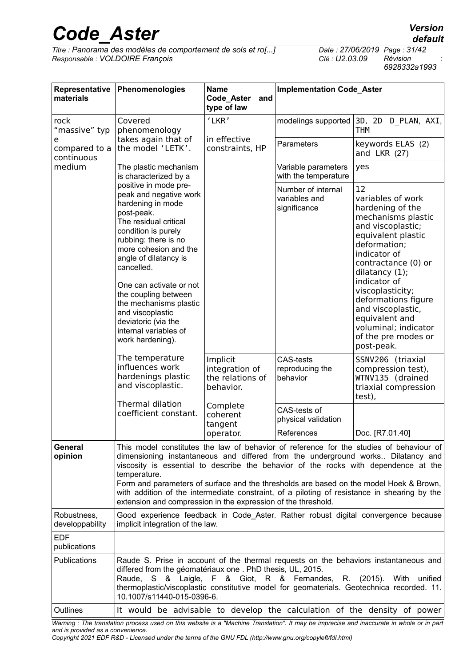*Titre : Panorama des modèles de comportement de sols et ro[...] Date : 27/06/2019 Page : 31/42*  $Responsible : VOLDOIRE$  *François* 

*6928332a1993*

| Representative<br>materials      | Phenomenologies                                                                                                                                                                                                                                                                                                                                                                                                                                                                                                                               | <b>Name</b><br>Code_Aster<br>and<br>type of law                                                                                            | <b>Implementation Code_Aster</b>                    |                                                                                                                                                                                                                                                                                                                                                      |
|----------------------------------|-----------------------------------------------------------------------------------------------------------------------------------------------------------------------------------------------------------------------------------------------------------------------------------------------------------------------------------------------------------------------------------------------------------------------------------------------------------------------------------------------------------------------------------------------|--------------------------------------------------------------------------------------------------------------------------------------------|-----------------------------------------------------|------------------------------------------------------------------------------------------------------------------------------------------------------------------------------------------------------------------------------------------------------------------------------------------------------------------------------------------------------|
| rock<br>"massive" typ            | Covered<br>phenomenology<br>takes again that of<br>the model 'LETK'.                                                                                                                                                                                                                                                                                                                                                                                                                                                                          | 'LKR'<br>in effective<br>constraints, HP<br>Implicit<br>integration of<br>the relations of<br>behavior.<br>Complete<br>coherent<br>tangent | modelings supported                                 | 3D, 2D D PLAN, AXI,<br>THM                                                                                                                                                                                                                                                                                                                           |
| e<br>compared to a<br>continuous |                                                                                                                                                                                                                                                                                                                                                                                                                                                                                                                                               |                                                                                                                                            | Parameters                                          | keywords ELAS (2)<br>and LKR $(27)$                                                                                                                                                                                                                                                                                                                  |
| medium                           | The plastic mechanism<br>is characterized by a                                                                                                                                                                                                                                                                                                                                                                                                                                                                                                |                                                                                                                                            | Variable parameters<br>with the temperature         | yes                                                                                                                                                                                                                                                                                                                                                  |
|                                  | positive in mode pre-<br>peak and negative work<br>hardening in mode<br>post-peak.<br>The residual critical<br>condition is purely<br>rubbing: there is no<br>more cohesion and the<br>angle of dilatancy is<br>cancelled.<br>One can activate or not<br>the coupling between<br>the mechanisms plastic<br>and viscoplastic<br>deviatoric (via the<br>internal variables of<br>work hardening).                                                                                                                                               |                                                                                                                                            | Number of internal<br>variables and<br>significance | 12<br>variables of work<br>hardening of the<br>mechanisms plastic<br>and viscoplastic;<br>equivalent plastic<br>deformation;<br>indicator of<br>contractance (0) or<br>dilatancy (1);<br>indicator of<br>viscoplasticity;<br>deformations figure<br>and viscoplastic,<br>equivalent and<br>voluminal; indicator<br>of the pre modes or<br>post-peak. |
|                                  | The temperature<br>influences work<br>hardenings plastic<br>and viscoplastic.                                                                                                                                                                                                                                                                                                                                                                                                                                                                 |                                                                                                                                            | <b>CAS-tests</b><br>reproducing the<br>behavior     | SSNV206 (triaxial<br>compression test),<br>WTNV135 (drained<br>triaxial compression<br>test),                                                                                                                                                                                                                                                        |
|                                  | <b>Thermal dilation</b><br>coefficient constant.                                                                                                                                                                                                                                                                                                                                                                                                                                                                                              |                                                                                                                                            | CAS-tests of<br>physical validation                 |                                                                                                                                                                                                                                                                                                                                                      |
|                                  |                                                                                                                                                                                                                                                                                                                                                                                                                                                                                                                                               | operator.                                                                                                                                  | References                                          | Doc. [R7.01.40]                                                                                                                                                                                                                                                                                                                                      |
| General<br>opinion               | This model constitutes the law of behavior of reference for the studies of behaviour of<br>dimensioning instantaneous and differed from the underground works Dilatancy and<br>viscosity is essential to describe the behavior of the rocks with dependence at the<br>temperature.<br>Form and parameters of surface and the thresholds are based on the model Hoek & Brown,<br>with addition of the intermediate constraint, of a piloting of resistance in shearing by the<br>extension and compression in the expression of the threshold. |                                                                                                                                            |                                                     |                                                                                                                                                                                                                                                                                                                                                      |
| Robustness,<br>developpability   | Good experience feedback in Code_Aster. Rather robust digital convergence because<br>implicit integration of the law.                                                                                                                                                                                                                                                                                                                                                                                                                         |                                                                                                                                            |                                                     |                                                                                                                                                                                                                                                                                                                                                      |
| <b>EDF</b><br>publications       |                                                                                                                                                                                                                                                                                                                                                                                                                                                                                                                                               |                                                                                                                                            |                                                     |                                                                                                                                                                                                                                                                                                                                                      |
| Publications                     | Raude S. Prise in account of the thermal requests on the behaviors instantaneous and<br>differed from the géomatériaux one. PhD thesis, UL, 2015.<br>Raude, S & Laigle, F & Giot, R & Fernandes, R. (2015). With unified<br>thermoplastic/viscoplastic constitutive model for geomaterials. Geotechnica recorded. 11.<br>10.1007/s11440-015-0396-6.                                                                                                                                                                                           |                                                                                                                                            |                                                     |                                                                                                                                                                                                                                                                                                                                                      |
| Outlines                         | It would be advisable to develop the calculation of the density of power                                                                                                                                                                                                                                                                                                                                                                                                                                                                      |                                                                                                                                            |                                                     |                                                                                                                                                                                                                                                                                                                                                      |

*Warning : The translation process used on this website is a "Machine Translation". It may be imprecise and inaccurate in whole or in part and is provided as a convenience.*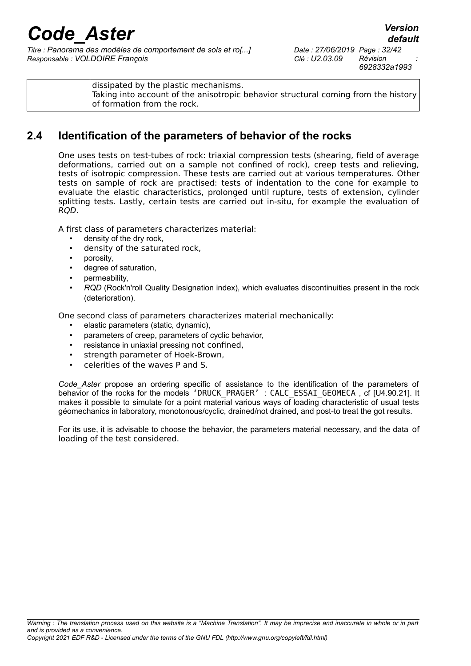*Titre : Panorama des modèles de comportement de sols et ro[...] Date : 27/06/2019 Page : 32/42 Responsable : VOLDOIRE François Clé : U2.03.09 Révision :*

| dissipated by the plastic mechanisms.<br>Taking into account of the anisotropic behavior structural coming from the history<br>of formation from the rock. |
|------------------------------------------------------------------------------------------------------------------------------------------------------------|
|------------------------------------------------------------------------------------------------------------------------------------------------------------|

### **2.4 Identification of the parameters of behavior of the rocks**

<span id="page-31-0"></span>One uses tests on test-tubes of rock: triaxial compression tests (shearing, field of average deformations, carried out on a sample not confined of rock), creep tests and relieving, tests of isotropic compression. These tests are carried out at various temperatures. Other tests on sample of rock are practised: tests of indentation to the cone for example to evaluate the elastic characteristics, prolonged until rupture, tests of extension, cylinder splitting tests. Lastly, certain tests are carried out in-situ, for example the evaluation of RQD.

A first class of parameters characterizes material:

- density of the dry rock,
- density of the saturated rock,
- porosity,
- degree of saturation,
- permeability,
- *RQD* (Rock'n'roll Quality Designation index), which evaluates discontinuities present in the rock (deterioration).

One second class of parameters characterizes material mechanically:

- elastic parameters (static, dynamic),
- parameters of creep, parameters of cyclic behavior,
- resistance in uniaxial pressing not confined,
- strength parameter of Hoek-Brown,
- celerities of the waves P and S.

*Code\_Aster* propose an ordering specific of assistance to the identification of the parameters of behavior of the rocks for the models 'DRUCK\_PRAGER' : CALC\_ESSAI\_GEOMECA, cf [U4.90.21]. It makes it possible to simulate for a point material various ways of loading characteristic of usual tests géomechanics in laboratory, monotonous/cyclic, drained/not drained, and post-to treat the got results.

For its use, it is advisable to choose the behavior, the parameters material necessary, and the data of loading of the test considered.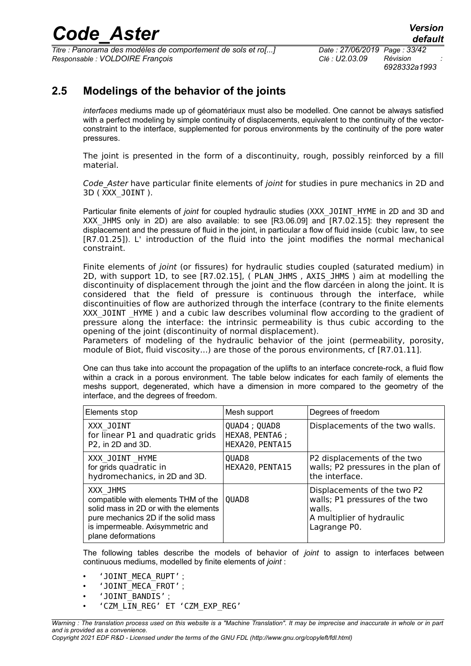*Titre : Panorama des modèles de comportement de sols et ro[...] Date : 27/06/2019 Page : 33/42 Responsable : VOLDOIRE François Clé : U2.03.09 Révision :*

*6928332a1993*

### **2.5 Modelings of the behavior of the joints**

<span id="page-32-0"></span>*interfaces* mediums made up of géomatériaux must also be modelled. One cannot be always satisfied with a perfect modeling by simple continuity of displacements, equivalent to the continuity of the vectorconstraint to the interface, supplemented for porous environments by the continuity of the pore water pressures.

The joint is presented in the form of a discontinuity, rough, possibly reinforced by a fill material.

Code Aster have particular finite elements of joint for studies in pure mechanics in 2D and 3D ( XXX\_JOINT ).

Particular finite elements of *joint* for coupled hydraulic studies (XXX\_JOINT\_HYME in 2D and 3D and XXX JHMS only in 2D) are also available: to see [R3.06.09] and [R7.02.15]: they represent the displacement and the pressure of fluid in the joint, in particular a flow of fluid inside (cubic law, to see [R7.01.25]). L' introduction of the fluid into the joint modifies the normal mechanical constraint.

Finite elements of joint (or fissures) for hydraulic studies coupled (saturated medium) in 2D, with support 1D, to see [R7.02.15], ( PLAN\_JHMS , AXIS\_JHMS ) aim at modelling the discontinuity of displacement through the joint and the flow darcéen in along the joint. It is considered that the field of pressure is continuous through the interface, while discontinuities of flow are authorized through the interface (contrary to the finite elements XXX JOINT HYME ) and a cubic law describes voluminal flow according to the gradient of pressure along the interface: the intrinsic permeability is thus cubic according to the opening of the joint (discontinuity of normal displacement).

Parameters of modeling of the hydraulic behavior of the joint (permeability, porosity, module of Biot, fluid viscosity…) are those of the porous environments, cf [R7.01.11].

One can thus take into account the propagation of the uplifts to an interface concrete-rock, a fluid flow within a crack in a porous environment. The table below indicates for each family of elements the meshs support, degenerated, which have a dimension in more compared to the geometry of the interface, and the degrees of freedom.

| Elements stop                                                                                                                                                                             | Mesh support                                        | Degrees of freedom                                                                                                   |
|-------------------------------------------------------------------------------------------------------------------------------------------------------------------------------------------|-----------------------------------------------------|----------------------------------------------------------------------------------------------------------------------|
| XXX JOINT<br>for linear P1 and quadratic grids<br>P2, in 2D and 3D.                                                                                                                       | QUAD4 ; QUAD8<br>HEXA8, PENTA6 ;<br>HEXA20, PENTA15 | Displacements of the two walls.                                                                                      |
| XXX JOINT HYME<br>for grids quadratic in<br>hydromechanics, in 2D and 3D.                                                                                                                 | QUAD <sub>8</sub><br>HEXA20, PENTA15                | P2 displacements of the two<br>walls; P2 pressures in the plan of<br>the interface.                                  |
| XXX JHMS<br>compatible with elements THM of the<br>solid mass in 2D or with the elements<br>pure mechanics 2D if the solid mass<br>is impermeable. Axisymmetric and<br>plane deformations | QUAD <sub>8</sub>                                   | Displacements of the two P2<br>walls; P1 pressures of the two<br>walls.<br>A multiplier of hydraulic<br>Lagrange P0. |

The following tables describe the models of behavior of *joint* to assign to interfaces between continuous mediums, modelled by finite elements of *joint* :

- 'JOINT MECA RUPT'
- 'JOINT\_MECA\_FROT' ;
- 'JOINT\_BANDIS' ;
- 'CZM\_LIN\_REG' ET 'CZM\_EXP\_REG'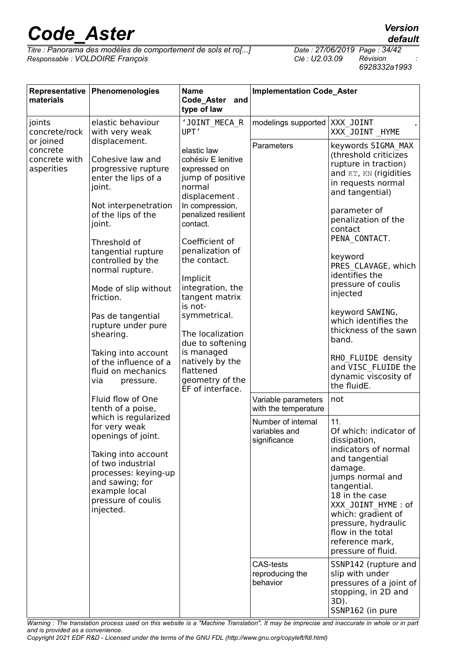*Titre : Panorama des modèles de comportement de sols et ro[...] Date : 27/06/2019 Page : 34/42*  $Responsible : VOLDOIRE$  *François* 

*6928332a1993*

| materials                                            | Representative Phenomenologies                                                                                                                                                                                                                                                                                                                                                                                         | <b>Name</b><br>Code_Aster<br>and<br>type of law                                                                                                                                                                                                                                                                                                                                                                       | <b>Implementation Code_Aster</b>                    |                                                                                                                                                                                                                                                                                                                                                                                                                                                                  |
|------------------------------------------------------|------------------------------------------------------------------------------------------------------------------------------------------------------------------------------------------------------------------------------------------------------------------------------------------------------------------------------------------------------------------------------------------------------------------------|-----------------------------------------------------------------------------------------------------------------------------------------------------------------------------------------------------------------------------------------------------------------------------------------------------------------------------------------------------------------------------------------------------------------------|-----------------------------------------------------|------------------------------------------------------------------------------------------------------------------------------------------------------------------------------------------------------------------------------------------------------------------------------------------------------------------------------------------------------------------------------------------------------------------------------------------------------------------|
| joints<br>concrete/rock                              | elastic behaviour<br>with very weak                                                                                                                                                                                                                                                                                                                                                                                    | 'JOINT MECA R<br>UPT'                                                                                                                                                                                                                                                                                                                                                                                                 | modelings supported                                 | XXX JOINT<br>XXX JOINT HYME                                                                                                                                                                                                                                                                                                                                                                                                                                      |
| or joined<br>concrete<br>concrete with<br>asperities | displacement.<br>Cohesive law and<br>progressive rupture<br>enter the lips of a<br>joint.<br>Not interpenetration<br>of the lips of the<br>joint.<br>Threshold of<br>tangential rupture<br>controlled by the<br>normal rupture.<br>Mode of slip without<br>friction.<br>Pas de tangential<br>rupture under pure<br>shearing.<br>Taking into account<br>of the influence of a<br>fluid on mechanics<br>via<br>pressure. | elastic law<br>cohésiv E lenitive<br>expressed on<br>jump of positive<br>normal<br>displacement.<br>In compression,<br>penalized resilient<br>contact.<br>Coefficient of<br>penalization of<br>the contact.<br>Implicit<br>integration, the<br>tangent matrix<br>is not-<br>symmetrical.<br>The localization<br>due to softening<br>is managed<br>natively by the<br>flattened<br>geometry of the<br>EF of interface. | Parameters                                          | keywords SIGMA MAX<br>(threshold criticizes<br>rupture in traction)<br>and KT, KN (rigidities<br>in requests normal<br>and tangential)<br>parameter of<br>penalization of the<br>contact<br>PENA CONTACT.<br>keyword<br>PRES CLAVAGE, which<br>identifies the<br>pressure of coulis<br>injected<br>keyword SAWING,<br>which identifies the<br>thickness of the sawn<br>band.<br>RHO FLUIDE density<br>and VISC FLUIDE the<br>dynamic viscosity of<br>the fluidE. |
|                                                      | Fluid flow of One<br>tenth of a poise,                                                                                                                                                                                                                                                                                                                                                                                 |                                                                                                                                                                                                                                                                                                                                                                                                                       | Variable parameters<br>with the temperature         | not                                                                                                                                                                                                                                                                                                                                                                                                                                                              |
|                                                      | which is regularized<br>for very weak<br>openings of joint.<br>Taking into account<br>of two industrial<br>processes: keying-up<br>and sawing; for<br>example local<br>pressure of coulis<br>injected.                                                                                                                                                                                                                 |                                                                                                                                                                                                                                                                                                                                                                                                                       | Number of internal<br>variables and<br>significance | 11.<br>Of which: indicator of<br>dissipation,<br>indicators of normal<br>and tangential<br>damage.<br>jumps normal and<br>tangential.<br>18 in the case<br>XXX JOINT HYME : of<br>which: gradient of<br>pressure, hydraulic<br>flow in the total<br>reference mark,<br>pressure of fluid.                                                                                                                                                                        |
|                                                      |                                                                                                                                                                                                                                                                                                                                                                                                                        |                                                                                                                                                                                                                                                                                                                                                                                                                       | <b>CAS-tests</b><br>reproducing the<br>behavior     | SSNP142 (rupture and<br>slip with under<br>pressures of a joint of<br>stopping, in 2D and<br>3D).<br>SSNP162 (in pure                                                                                                                                                                                                                                                                                                                                            |

*Warning : The translation process used on this website is a "Machine Translation". It may be imprecise and inaccurate in whole or in part and is provided as a convenience.*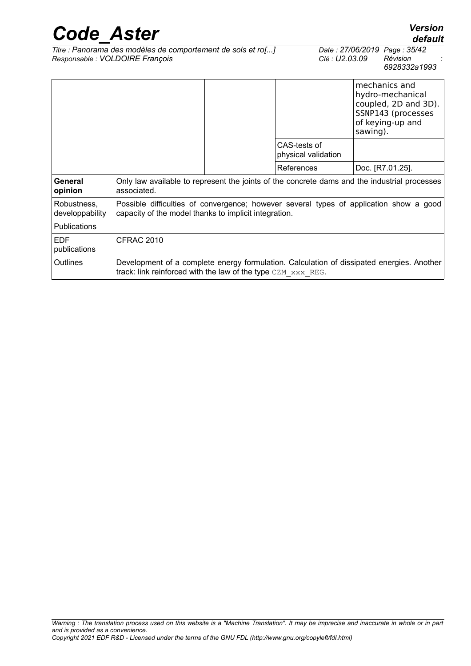| <b>Code Aster</b>              |                                                                                                 |                                     | <b>Version</b><br>default                                                                                       |
|--------------------------------|-------------------------------------------------------------------------------------------------|-------------------------------------|-----------------------------------------------------------------------------------------------------------------|
|                                | Titre : Panorama des modèles de comportement de sols et ro[]<br>Responsable : VOLDOIRE François | Clé : U2.03.09                      | Date: 27/06/2019 Page: 35/42<br>Révision<br>6928332a1993                                                        |
|                                |                                                                                                 |                                     | mechanics and<br>hydro-mechanical<br>coupled, 2D and 3D).<br>SSNP143 (processes<br>of keying-up and<br>sawing). |
|                                |                                                                                                 | CAS-tests of<br>physical validation |                                                                                                                 |
|                                |                                                                                                 | References                          | Doc. [R7.01.25].                                                                                                |
| General<br>opinion             | associated.                                                                                     |                                     | Only law available to represent the joints of the concrete dams and the industrial processes                    |
| Robustness,<br>developpability | capacity of the model thanks to implicit integration.                                           |                                     | Possible difficulties of convergence; however several types of application show a good                          |
| <b>Dublications</b>            |                                                                                                 |                                     |                                                                                                                 |

| l Publications             |                                                                                                                                                              |
|----------------------------|--------------------------------------------------------------------------------------------------------------------------------------------------------------|
| <b>FDF</b><br>publications | CFRAC 2010                                                                                                                                                   |
| <b>Outlines</b>            | Development of a complete energy formulation. Calculation of dissipated energies. Another<br>track: link reinforced with the law of the type $CZM$ $XXREG$ . |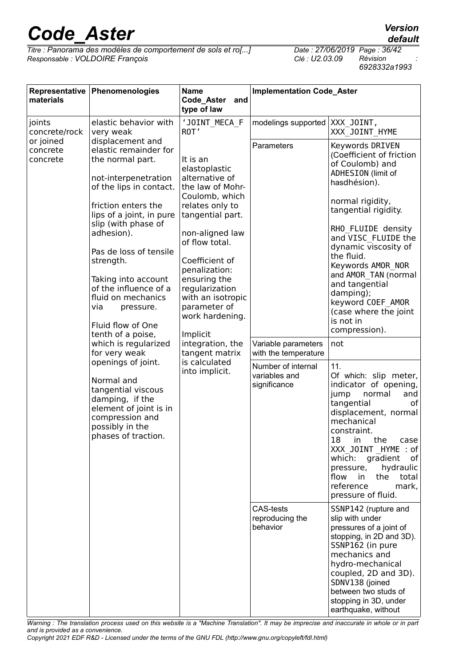*Titre : Panorama des modèles de comportement de sols et ro[...] Date : 27/06/2019 Page : 36/42*  $Responsible : VOLDOIRE$  *François* 

*6928332a1993*

| materials                         | Representative Phenomenologies                                                                                                                                                                                                                                                                                                                                                                                                                                                                                                                                                                   | <b>Name</b><br>Code_Aster<br>and<br>type of law                                                                                                                                                                                                                                                                                                                                 | <b>Implementation Code_Aster</b>                                                                                                                                    |                                                                                                                                                                                                                                                                                                                                                                                                                                                                                                                                                                                                                                                                                                                                                                                                                                                                                                                                                                                                                                |
|-----------------------------------|--------------------------------------------------------------------------------------------------------------------------------------------------------------------------------------------------------------------------------------------------------------------------------------------------------------------------------------------------------------------------------------------------------------------------------------------------------------------------------------------------------------------------------------------------------------------------------------------------|---------------------------------------------------------------------------------------------------------------------------------------------------------------------------------------------------------------------------------------------------------------------------------------------------------------------------------------------------------------------------------|---------------------------------------------------------------------------------------------------------------------------------------------------------------------|--------------------------------------------------------------------------------------------------------------------------------------------------------------------------------------------------------------------------------------------------------------------------------------------------------------------------------------------------------------------------------------------------------------------------------------------------------------------------------------------------------------------------------------------------------------------------------------------------------------------------------------------------------------------------------------------------------------------------------------------------------------------------------------------------------------------------------------------------------------------------------------------------------------------------------------------------------------------------------------------------------------------------------|
| joints<br>concrete/rock           | elastic behavior with<br>very weak                                                                                                                                                                                                                                                                                                                                                                                                                                                                                                                                                               | 'JOINT MECA F<br>ROT'                                                                                                                                                                                                                                                                                                                                                           | modelings supported                                                                                                                                                 | XXX JOINT,<br>XXX JOINT_HYME                                                                                                                                                                                                                                                                                                                                                                                                                                                                                                                                                                                                                                                                                                                                                                                                                                                                                                                                                                                                   |
| or joined<br>concrete<br>concrete | displacement and<br>elastic remainder for<br>the normal part.<br>not-interpenetration<br>of the lips in contact.<br>friction enters the<br>lips of a joint, in pure<br>slip (with phase of<br>adhesion).<br>Pas de loss of tensile<br>strength.<br>Taking into account<br>of the influence of a<br>fluid on mechanics<br>via<br>pressure.<br>Fluid flow of One<br>tenth of a poise,<br>which is regularized<br>for very weak<br>openings of joint.<br>Normal and<br>tangential viscous<br>damping, if the<br>element of joint is in<br>compression and<br>possibly in the<br>phases of traction. | It is an<br>elastoplastic<br>alternative of<br>the law of Mohr-<br>Coulomb, which<br>relates only to<br>tangential part.<br>non-aligned law<br>of flow total.<br>Coefficient of<br>penalization:<br>ensuring the<br>regularization<br>with an isotropic<br>parameter of<br>work hardening.<br>Implicit<br>integration, the<br>tangent matrix<br>is calculated<br>into implicit. | Parameters<br>Variable parameters<br>with the temperature<br>Number of internal<br>variables and<br>significance<br><b>CAS-tests</b><br>reproducing the<br>behavior | Keywords DRIVEN<br>(Coefficient of friction<br>of Coulomb) and<br>ADHESION (limit of<br>hasdhésion).<br>normal rigidity,<br>tangential rigidity.<br>RHO FLUIDE density<br>and VISC FLUIDE the<br>dynamic viscosity of<br>the fluid.<br>Keywords AMOR NOR<br>and AMOR TAN (normal<br>and tangential<br>damping);<br>keyword COEF AMOR<br>(case where the joint<br>is not in<br>compression).<br>not<br>11.<br>Of which: slip meter,<br>indicator of opening,<br>jump<br>normal<br>and<br>tangential<br>оf<br>displacement, normal<br>mechanical<br>constraint.<br>18<br>in.<br>the<br>case<br>XXX JOINT HYME : of<br>which:<br>gradient<br>of<br>hydraulic<br>pressure,<br>flow<br>in<br>the<br>total<br>reference<br>mark,<br>pressure of fluid.<br>SSNP142 (rupture and<br>slip with under<br>pressures of a joint of<br>stopping, in 2D and 3D).<br>SSNP162 (in pure<br>mechanics and<br>hydro-mechanical<br>coupled, 2D and 3D).<br>SDNV138 (joined<br>between two studs of<br>stopping in 3D, under<br>earthquake, without |

*Warning : The translation process used on this website is a "Machine Translation". It may be imprecise and inaccurate in whole or in part and is provided as a convenience.*

### *default*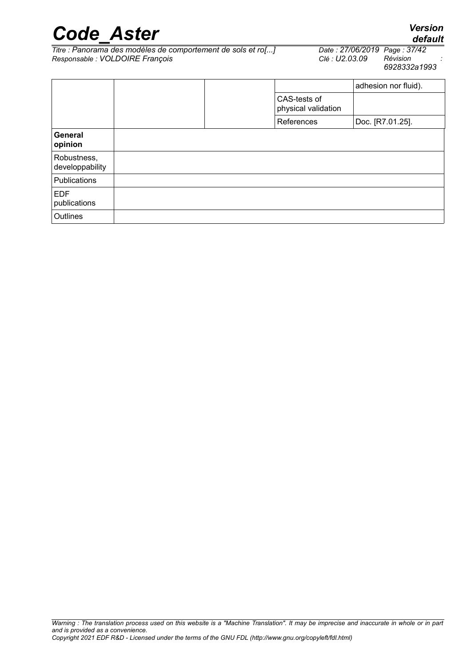| <b>Code Aster</b> | <b>Version</b> |
|-------------------|----------------|
|                   | default        |

*Titre : Panorama des modèles de comportement de sols et ro[...] Date : 27/06/2019 Page : 37/42*  $Responsible : VOLDOIRE$  *François* 

*6928332a1993*

|                                |  |                                     |            | adhesion nor fluid). |
|--------------------------------|--|-------------------------------------|------------|----------------------|
|                                |  | CAS-tests of<br>physical validation |            |                      |
|                                |  |                                     | References | Doc. [R7.01.25].     |
| General<br>opinion             |  |                                     |            |                      |
| Robustness,<br>developpability |  |                                     |            |                      |
| Publications                   |  |                                     |            |                      |
| <b>EDF</b><br>publications     |  |                                     |            |                      |
| Outlines                       |  |                                     |            |                      |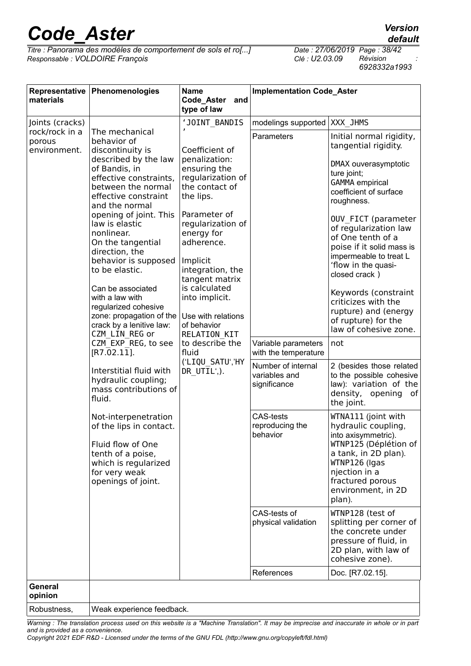*Titre : Panorama des modèles de comportement de sols et ro[...] Date : 27/06/2019 Page : 38/42*  $Responsible : VOLDOIRE$  *François* 

*6928332a1993*

| materials                                                                                                                                                                                                                                                                                                                                                                                                                                                                                                                                                                                                                                                                                                                                                                                                                                                                                                                                                                                                                                               | Representative Phenomenologies                                                                     | <b>Name</b><br>Code_Aster<br>and<br>type of law     | <b>Implementation Code_Aster</b>                                                                                                                                                                                                                                                                                                                                                                                                                     |                  |
|---------------------------------------------------------------------------------------------------------------------------------------------------------------------------------------------------------------------------------------------------------------------------------------------------------------------------------------------------------------------------------------------------------------------------------------------------------------------------------------------------------------------------------------------------------------------------------------------------------------------------------------------------------------------------------------------------------------------------------------------------------------------------------------------------------------------------------------------------------------------------------------------------------------------------------------------------------------------------------------------------------------------------------------------------------|----------------------------------------------------------------------------------------------------|-----------------------------------------------------|------------------------------------------------------------------------------------------------------------------------------------------------------------------------------------------------------------------------------------------------------------------------------------------------------------------------------------------------------------------------------------------------------------------------------------------------------|------------------|
| Joints (cracks)                                                                                                                                                                                                                                                                                                                                                                                                                                                                                                                                                                                                                                                                                                                                                                                                                                                                                                                                                                                                                                         |                                                                                                    | 'JOINT BANDIS                                       | modelings supported                                                                                                                                                                                                                                                                                                                                                                                                                                  | XXX JHMS         |
| rock/rock in a<br>The mechanical<br>behavior of<br>porous<br>environment.<br>discontinuity is<br>Coefficient of<br>described by the law<br>penalization:<br>ensuring the<br>of Bandis, in<br>effective constraints,<br>the contact of<br>between the normal<br>effective constraint<br>the lips.<br>and the normal<br>opening of joint. This<br>Parameter of<br>law is elastic<br>nonlinear.<br>energy for<br>On the tangential<br>adherence.<br>direction, the<br>behavior is supposed<br>Implicit<br>to be elastic.<br>is calculated<br>Can be associated<br>into implicit.<br>with a law with<br>regularized cohesive<br>zone: propagation of the<br>crack by a lenitive law:<br>of behavior<br>CZM LIN REG or<br><b>RELATION KIT</b><br>CZM EXP REG, to see<br>[R7.02.11].<br>fluid<br>Interstitial fluid with<br>DR UTIL',).<br>hydraulic coupling;<br>mass contributions of<br>fluid.<br>Not-interpenetration<br>of the lips in contact.<br>Fluid flow of One<br>tenth of a poise,<br>which is regularized<br>for very weak<br>openings of joint. | regularization of<br>regularization of<br>integration, the<br>tangent matrix<br>Use with relations | Parameters                                          | Initial normal rigidity,<br>tangential rigidity.<br>DMAX ouverasymptotic<br>ture joint;<br><b>GAMMA</b> empirical<br>coefficient of surface<br>roughness.<br>OUV FICT (parameter<br>of regularization law<br>of One tenth of a<br>poise if it solid mass is<br>impermeable to treat L<br>'flow in the quasi-<br>closed crack)<br>Keywords (constraint<br>criticizes with the<br>rupture) and (energy<br>of rupture) for the<br>law of cohesive zone. |                  |
|                                                                                                                                                                                                                                                                                                                                                                                                                                                                                                                                                                                                                                                                                                                                                                                                                                                                                                                                                                                                                                                         |                                                                                                    | to describe the                                     | Variable parameters<br>with the temperature                                                                                                                                                                                                                                                                                                                                                                                                          | not              |
|                                                                                                                                                                                                                                                                                                                                                                                                                                                                                                                                                                                                                                                                                                                                                                                                                                                                                                                                                                                                                                                         | ('LIQU SATU','HY                                                                                   | Number of internal<br>variables and<br>significance | 2 (besides those related<br>to the possible cohesive<br>law): variation of the<br>density, opening<br>of<br>the joint.                                                                                                                                                                                                                                                                                                                               |                  |
|                                                                                                                                                                                                                                                                                                                                                                                                                                                                                                                                                                                                                                                                                                                                                                                                                                                                                                                                                                                                                                                         |                                                                                                    | <b>CAS-tests</b><br>reproducing the<br>behavior     | WTNA111 (joint with<br>hydraulic coupling,<br>into axisymmetric).<br>WTNP125 (Déplétion of<br>a tank, in 2D plan).<br>WTNP126 (Igas<br>njection in a<br>fractured porous<br>environment, in 2D<br>plan).                                                                                                                                                                                                                                             |                  |
|                                                                                                                                                                                                                                                                                                                                                                                                                                                                                                                                                                                                                                                                                                                                                                                                                                                                                                                                                                                                                                                         |                                                                                                    | CAS-tests of<br>physical validation                 | WTNP128 (test of<br>splitting per corner of<br>the concrete under<br>pressure of fluid, in<br>2D plan, with law of<br>cohesive zone).                                                                                                                                                                                                                                                                                                                |                  |
|                                                                                                                                                                                                                                                                                                                                                                                                                                                                                                                                                                                                                                                                                                                                                                                                                                                                                                                                                                                                                                                         |                                                                                                    |                                                     | References                                                                                                                                                                                                                                                                                                                                                                                                                                           | Doc. [R7.02.15]. |
| <b>General</b><br>opinion                                                                                                                                                                                                                                                                                                                                                                                                                                                                                                                                                                                                                                                                                                                                                                                                                                                                                                                                                                                                                               |                                                                                                    |                                                     |                                                                                                                                                                                                                                                                                                                                                                                                                                                      |                  |
| Robustness,                                                                                                                                                                                                                                                                                                                                                                                                                                                                                                                                                                                                                                                                                                                                                                                                                                                                                                                                                                                                                                             | Weak experience feedback.                                                                          |                                                     |                                                                                                                                                                                                                                                                                                                                                                                                                                                      |                  |

*Warning : The translation process used on this website is a "Machine Translation". It may be imprecise and inaccurate in whole or in part and is provided as a convenience.*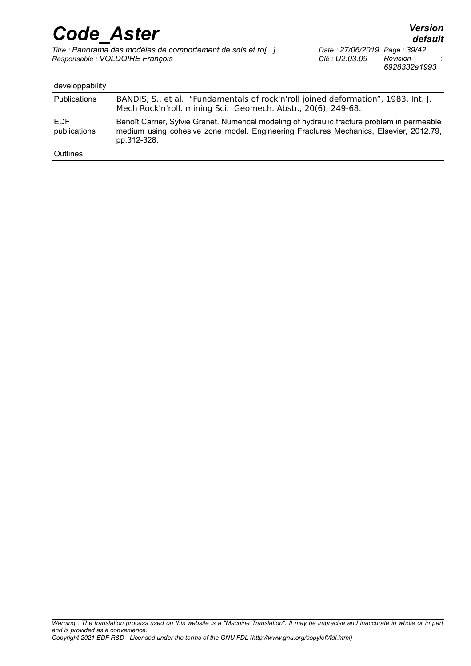*Titre : Panorama des modèles de comportement de sols et ro[...] Date : 27/06/2019 Page : 39/42*  $Responsible : VOLDOIRE$  *François* 

| developpability             |                                                                                                                                                                                                      |
|-----------------------------|------------------------------------------------------------------------------------------------------------------------------------------------------------------------------------------------------|
| Publications                | BANDIS, S., et al. "Fundamentals of rock'n'roll joined deformation", 1983, Int. J.<br>Mech Rock'n'roll. mining Sci. Geomech. Abstr., 20(6), 249-68.                                                  |
| <b>IEDF</b><br>publications | Benoît Carrier, Sylvie Granet. Numerical modeling of hydraulic fracture problem in permeable<br>medium using cohesive zone model. Engineering Fractures Mechanics, Elsevier, 2012.79,<br>pp.312-328. |
| <b>Outlines</b>             |                                                                                                                                                                                                      |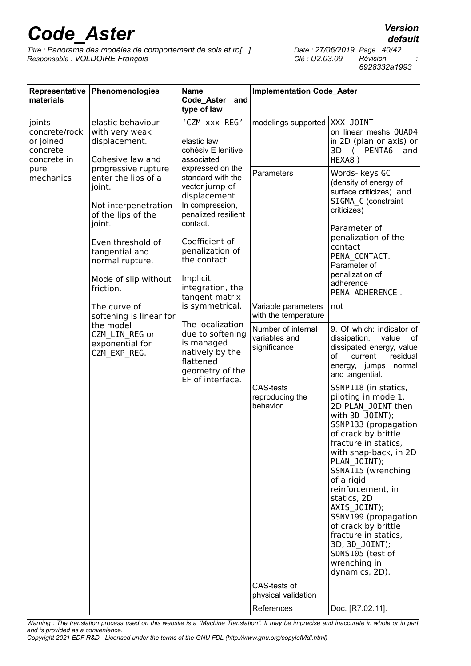*Titre : Panorama des modèles de comportement de sols et ro[...] Date : 27/06/2019 Page : 40/42*  $Responsible : VOLDOIRE$  *François* 

*6928332a1993*

| Representative<br>materials                                                          | Phenomenologies                                                                                                                                                                                             | <b>Name</b><br>Code_Aster<br>and<br>type of law                                                                                                                                                                                                                                                                                                                                                                                                           | <b>Implementation Code_Aster</b>                    |                                                                                                                                                                                                                                                                                                                                                                                                                                             |
|--------------------------------------------------------------------------------------|-------------------------------------------------------------------------------------------------------------------------------------------------------------------------------------------------------------|-----------------------------------------------------------------------------------------------------------------------------------------------------------------------------------------------------------------------------------------------------------------------------------------------------------------------------------------------------------------------------------------------------------------------------------------------------------|-----------------------------------------------------|---------------------------------------------------------------------------------------------------------------------------------------------------------------------------------------------------------------------------------------------------------------------------------------------------------------------------------------------------------------------------------------------------------------------------------------------|
| joints<br>concrete/rock<br>or joined<br>concrete<br>concrete in<br>pure<br>mechanics | elastic behaviour<br>with very weak<br>displacement.<br>Cohesive law and                                                                                                                                    | 'CZM xxx REG'<br>elastic law<br>cohésiv E lenitive<br>associated<br>expressed on the<br>standard with the<br>vector jump of<br>displacement.<br>In compression,<br>penalized resilient<br>contact.<br>Coefficient of<br>penalization of<br>the contact.<br>Implicit<br>integration, the<br>tangent matrix<br>is symmetrical.<br>The localization<br>due to softening<br>is managed<br>natively by the<br>flattened<br>geometry of the<br>EF of interface. | modelings supported                                 | XXX JOINT<br>on linear meshs QUAD4<br>in 2D (plan or axis) or<br>3D (<br>PENTA6<br>and<br>HEXA8)                                                                                                                                                                                                                                                                                                                                            |
|                                                                                      | progressive rupture<br>enter the lips of a<br>joint.<br>Not interpenetration<br>of the lips of the<br>joint.<br>Even threshold of<br>tangential and<br>normal rupture.<br>Mode of slip without<br>friction. |                                                                                                                                                                                                                                                                                                                                                                                                                                                           | Parameters                                          | Words- keys GC<br>(density of energy of<br>surface criticizes) and<br>SIGMA C (constraint<br>criticizes)<br>Parameter of<br>penalization of the<br>contact<br>PENA CONTACT.<br>Parameter of<br>penalization of<br>adherence<br>PENA ADHERENCE.                                                                                                                                                                                              |
|                                                                                      | The curve of<br>softening is linear for<br>the model<br>CZM LIN REG or<br>exponential for<br>CZM EXP REG.                                                                                                   |                                                                                                                                                                                                                                                                                                                                                                                                                                                           | Variable parameters<br>with the temperature         | not                                                                                                                                                                                                                                                                                                                                                                                                                                         |
|                                                                                      |                                                                                                                                                                                                             |                                                                                                                                                                                                                                                                                                                                                                                                                                                           | Number of internal<br>variables and<br>significance | 9. Of which: indicator of<br>dissipation,<br>value<br>of<br>dissipated energy, value<br>of<br>current<br>residual<br>energy, jumps<br>normal<br>and tangential.                                                                                                                                                                                                                                                                             |
|                                                                                      |                                                                                                                                                                                                             |                                                                                                                                                                                                                                                                                                                                                                                                                                                           | <b>CAS-tests</b><br>reproducing the<br>behavior     | SSNP118 (in statics,<br>piloting in mode 1,<br>2D PLAN JOINT then<br>with 3D JOINT);<br>SSNP133 (propagation<br>of crack by brittle<br>fracture in statics,<br>with snap-back, in 2D<br>PLAN JOINT);<br>SSNA115 (wrenching<br>of a rigid<br>reinforcement, in<br>statics, 2D<br>AXIS JOINT);<br>SSNV199 (propagation<br>of crack by brittle<br>fracture in statics,<br>3D, 3D JOINT);<br>SDNS105 (test of<br>wrenching in<br>dynamics, 2D). |
|                                                                                      |                                                                                                                                                                                                             |                                                                                                                                                                                                                                                                                                                                                                                                                                                           | CAS-tests of<br>physical validation<br>References   | Doc. [R7.02.11].                                                                                                                                                                                                                                                                                                                                                                                                                            |

*Warning : The translation process used on this website is a "Machine Translation". It may be imprecise and inaccurate in whole or in part and is provided as a convenience.*

*default*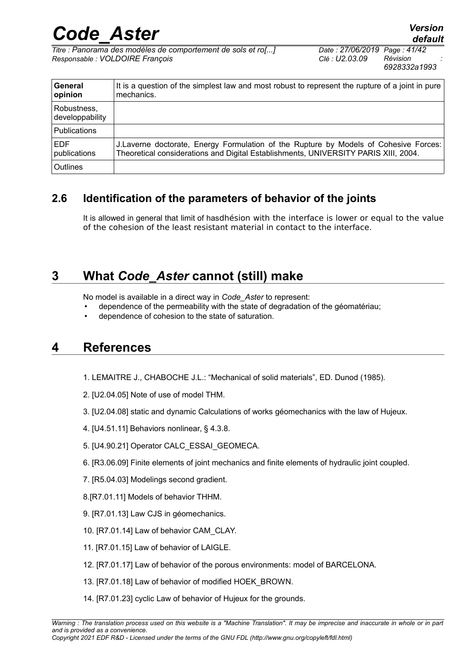*Code\_Aster Version Titre : Panorama des modèles de comportement de sols et ro[...] Date : 27/06/2019 Page : 41/42 Responsable : VOLDOIRE François Clé : U2.03.09 Révision :*

*6928332a1993*

| General<br>opinion             | It is a question of the simplest law and most robust to represent the rupture of a joint in pure<br>mechanics.                                                              |
|--------------------------------|-----------------------------------------------------------------------------------------------------------------------------------------------------------------------------|
| Robustness,<br>developpability |                                                                                                                                                                             |
| <b>Publications</b>            |                                                                                                                                                                             |
| <b>EDF</b><br>publications     | J.Laverne doctorate, Energy Formulation of the Rupture by Models of Cohesive Forces:<br>Theoretical considerations and Digital Establishments, UNIVERSITY PARIS XIII, 2004. |
| Outlines                       |                                                                                                                                                                             |

### **2.6 Identification of the parameters of behavior of the joints**

<span id="page-40-2"></span>It is allowed in general that limit of hasdhésion with the interface is lower or equal to the value of the cohesion of the least resistant material in contact to the interface.

### **3 What** *Code\_Aster* **cannot (still) make**

<span id="page-40-1"></span>No model is available in a direct way in *Code\_Aster* to represent:

- dependence of the permeability with the state of degradation of the géomatériau;
- <span id="page-40-0"></span>dependence of cohesion to the state of saturation.

### **4 References**

- 1. LEMAITRE J., CHABOCHE J.L.: "Mechanical of solid materials", ED. Dunod (1985).
- 2. [U2.04.05] Note of use of model THM.
- 3. [U2.04.08] static and dynamic Calculations of works géomechanics with the law of Hujeux.
- 4. [U4.51.11] Behaviors nonlinear, § 4.3.8.
- 5. [U4.90.21] Operator CALC\_ESSAI\_GEOMECA.
- 6. [R3.06.09] Finite elements of joint mechanics and finite elements of hydraulic joint coupled.
- 7. [R5.04.03] Modelings second gradient.
- 8.[R7.01.11] Models of behavior THHM.
- 9. [R7.01.13] Law CJS in géomechanics.
- 10. [R7.01.14] Law of behavior CAM\_CLAY.
- 11. [R7.01.15] Law of behavior of LAIGLE.
- 12. [R7.01.17] Law of behavior of the porous environments: model of BARCELONA.
- 13. [R7.01.18] Law of behavior of modified HOEK\_BROWN.
- 14. [R7.01.23] cyclic Law of behavior of Hujeux for the grounds.